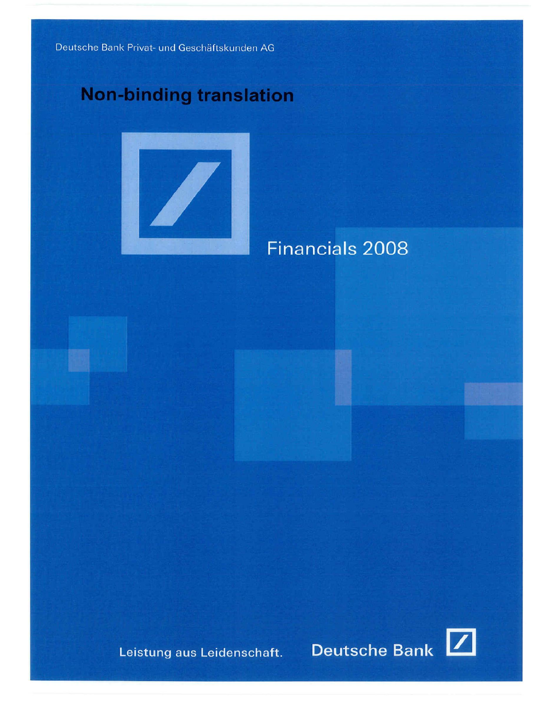# **Non-binding translation**



# Financials 2008

Leistung aus Leidenschaft.



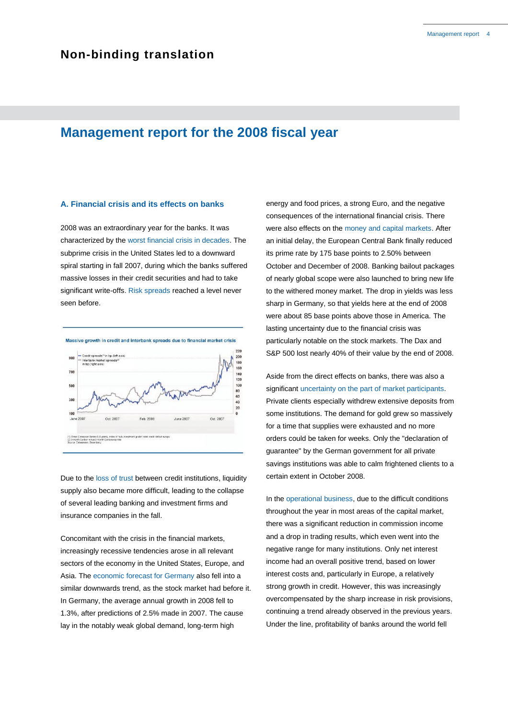## **Management report for the 2008 fiscal year**

### **A. Financial crisis and its effects on banks**

2008 was an extraordinary year for the banks. It was characterized by the worst financial crisis in decades. The subprime crisis in the United States led to a downward spiral starting in fall 2007, during which the banks suffered massive losses in their credit securities and had to take significant write-offs. Risk spreads reached a level never seen before.



Due to the loss of trust between credit institutions, liquidity supply also became more difficult, leading to the collapse of several leading banking and investment firms and insurance companies in the fall.

Concomitant with the crisis in the financial markets, increasingly recessive tendencies arose in all relevant sectors of the economy in the United States, Europe, and Asia. The economic forecast for Germany also fell into a similar downwards trend, as the stock market had before it. In Germany, the average annual growth in 2008 fell to 1.3%, after predictions of 2.5% made in 2007. The cause lay in the notably weak global demand, long-term high

energy and food prices, a strong Euro, and the negative consequences of the international financial crisis. There were also effects on the money and capital markets. After an initial delay, the European Central Bank finally reduced its prime rate by 175 base points to 2.50% between October and December of 2008. Banking bailout packages of nearly global scope were also launched to bring new life to the withered money market. The drop in yields was less sharp in Germany, so that yields here at the end of 2008 were about 85 base points above those in America. The lasting uncertainty due to the financial crisis was particularly notable on the stock markets. The Dax and S&P 500 lost nearly 40% of their value by the end of 2008.

Aside from the direct effects on banks, there was also a significant uncertainty on the part of market participants. Private clients especially withdrew extensive deposits from some institutions. The demand for gold grew so massively for a time that supplies were exhausted and no more orders could be taken for weeks. Only the "declaration of guarantee" by the German government for all private savings institutions was able to calm frightened clients to a certain extent in October 2008.

In the operational business, due to the difficult conditions throughout the year in most areas of the capital market, there was a significant reduction in commission income and a drop in trading results, which even went into the negative range for many institutions. Only net interest income had an overall positive trend, based on lower interest costs and, particularly in Europe, a relatively strong growth in credit. However, this was increasingly overcompensated by the sharp increase in risk provisions, continuing a trend already observed in the previous years. Under the line, profitability of banks around the world fell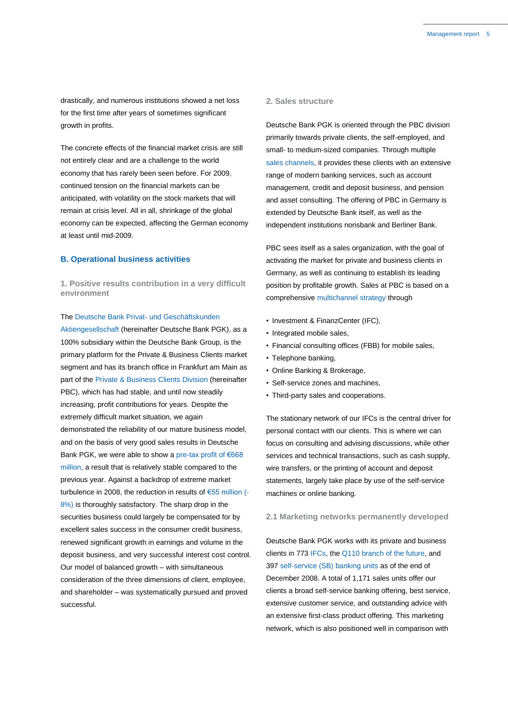drastically, and numerous institutions showed a net loss for the first time after years of sometimes significant growth in profits.

The concrete effects of the financial market crisis are still not entirely clear and are a challenge to the world economy that has rarely been seen before. For 2009, continued tension on the financial markets can be anticipated, with volatility on the stock markets that will remain at crisis level. All in all, shrinkage of the global economy can be expected, affecting the German economy at least until mid-2009.

### **B. Operational business activities**

**1. Positive results contribution in a very difficult environment**

### The Deutsche Bank Privat- und Geschäftskunden

Aktiengesellschaft (hereinafter Deutsche Bank PGK), as a 100% subsidiary within the Deutsche Bank Group, is the primary platform for the Private & Business Clients market segment and has its branch office in Frankfurt am Main as part of the Private & Business Clients Division (hereinafter PBC), which has had stable, and until now steadily increasing, profit contributions for years. Despite the extremely difficult market situation, we again demonstrated the reliability of our mature business model, and on the basis of very good sales results in Deutsche Bank PGK, we were able to show a pre-tax profit of €668 million, a result that is relatively stable compared to the previous year. Against a backdrop of extreme market turbulence in 2008, the reduction in results of €55 million (- 8%) is thoroughly satisfactory. The sharp drop in the securities business could largely be compensated for by excellent sales success in the consumer credit business, renewed significant growth in earnings and volume in the deposit business, and very successful interest cost control. Our model of balanced growth – with simultaneous consideration of the three dimensions of client, employee, and shareholder – was systematically pursued and proved successful.

### **2. Sales structure**

Deutsche Bank PGK is oriented through the PBC division primarily towards private clients, the self-employed, and small- to medium-sized companies. Through multiple sales channels, it provides these clients with an extensive range of modern banking services, such as account management, credit and deposit business, and pension and asset consulting. The offering of PBC in Germany is extended by Deutsche Bank itself, as well as the independent institutions norisbank and Berliner Bank.

PBC sees itself as a sales organization, with the goal of activating the market for private and business clients in Germany, as well as continuing to establish its leading position by profitable growth. Sales at PBC is based on a comprehensive multichannel strategy through

- Investment & FinanzCenter (IFC),
- Integrated mobile sales,
- Financial consulting offices (FBB) for mobile sales,
- Telephone banking,
- Online Banking & Brokerage,
- Self-service zones and machines,
- Third-party sales and cooperations.

The stationary network of our IFCs is the central driver for personal contact with our clients. This is where we can focus on consulting and advising discussions, while other services and technical transactions, such as cash supply, wire transfers, or the printing of account and deposit statements, largely take place by use of the self-service machines or online banking.

### **2.1 Marketing networks permanently developed**

Deutsche Bank PGK works with its private and business clients in 773 IFCs, the Q110 branch of the future, and 397 self-service (SB) banking units as of the end of December 2008. A total of 1,171 sales units offer our clients a broad self-service banking offering, best service, extensive customer service, and outstanding advice with an extensive first-class product offering. This marketing network, which is also positioned well in comparison with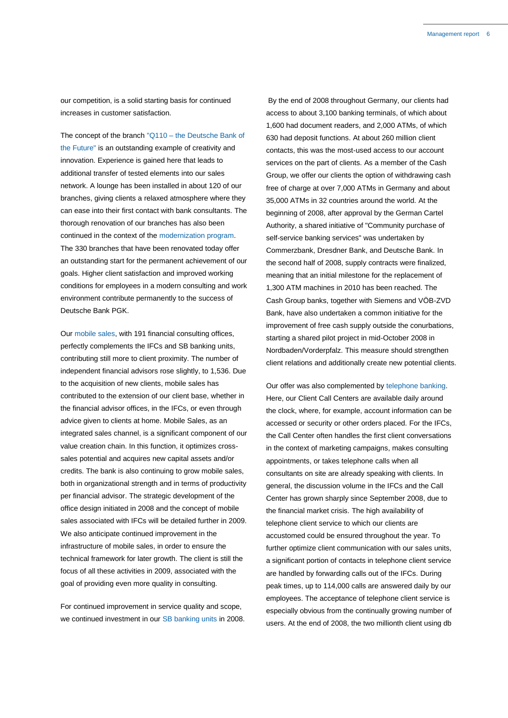our competition, is a solid starting basis for continued increases in customer satisfaction.

The concept of the branch "Q110 – the Deutsche Bank of the Future" is an outstanding example of creativity and innovation. Experience is gained here that leads to additional transfer of tested elements into our sales network. A lounge has been installed in about 120 of our branches, giving clients a relaxed atmosphere where they can ease into their first contact with bank consultants. The thorough renovation of our branches has also been continued in the context of the modernization program. The 330 branches that have been renovated today offer an outstanding start for the permanent achievement of our goals. Higher client satisfaction and improved working conditions for employees in a modern consulting and work environment contribute permanently to the success of Deutsche Bank PGK.

Our mobile sales, with 191 financial consulting offices, perfectly complements the IFCs and SB banking units, contributing still more to client proximity. The number of independent financial advisors rose slightly, to 1,536. Due to the acquisition of new clients, mobile sales has contributed to the extension of our client base, whether in the financial advisor offices, in the IFCs, or even through advice given to clients at home. Mobile Sales, as an integrated sales channel, is a significant component of our value creation chain. In this function, it optimizes crosssales potential and acquires new capital assets and/or credits. The bank is also continuing to grow mobile sales, both in organizational strength and in terms of productivity per financial advisor. The strategic development of the office design initiated in 2008 and the concept of mobile sales associated with IFCs will be detailed further in 2009. We also anticipate continued improvement in the infrastructure of mobile sales, in order to ensure the technical framework for later growth. The client is still the focus of all these activities in 2009, associated with the goal of providing even more quality in consulting.

For continued improvement in service quality and scope, we continued investment in our SB banking units in 2008.

By the end of 2008 throughout Germany, our clients had access to about 3,100 banking terminals, of which about 1,600 had document readers, and 2,000 ATMs, of which 630 had deposit functions. At about 260 million client contacts, this was the most-used access to our account services on the part of clients. As a member of the Cash Group, we offer our clients the option of withdrawing cash free of charge at over 7,000 ATMs in Germany and about 35,000 ATMs in 32 countries around the world. At the beginning of 2008, after approval by the German Cartel Authority, a shared initiative of "Community purchase of self-service banking services" was undertaken by Commerzbank, Dresdner Bank, and Deutsche Bank. In the second half of 2008, supply contracts were finalized, meaning that an initial milestone for the replacement of 1,300 ATM machines in 2010 has been reached. The Cash Group banks, together with Siemens and VÖB-ZVD Bank, have also undertaken a common initiative for the improvement of free cash supply outside the conurbations, starting a shared pilot project in mid-October 2008 in Nordbaden/Vorderpfalz. This measure should strengthen client relations and additionally create new potential clients.

Our offer was also complemented by telephone banking. Here, our Client Call Centers are available daily around the clock, where, for example, account information can be accessed or security or other orders placed. For the IFCs, the Call Center often handles the first client conversations in the context of marketing campaigns, makes consulting appointments, or takes telephone calls when all consultants on site are already speaking with clients. In general, the discussion volume in the IFCs and the Call Center has grown sharply since September 2008, due to the financial market crisis. The high availability of telephone client service to which our clients are accustomed could be ensured throughout the year. To further optimize client communication with our sales units, a significant portion of contacts in telephone client service are handled by forwarding calls out of the IFCs. During peak times, up to 114,000 calls are answered daily by our employees. The acceptance of telephone client service is especially obvious from the continually growing number of users. At the end of 2008, the two millionth client using db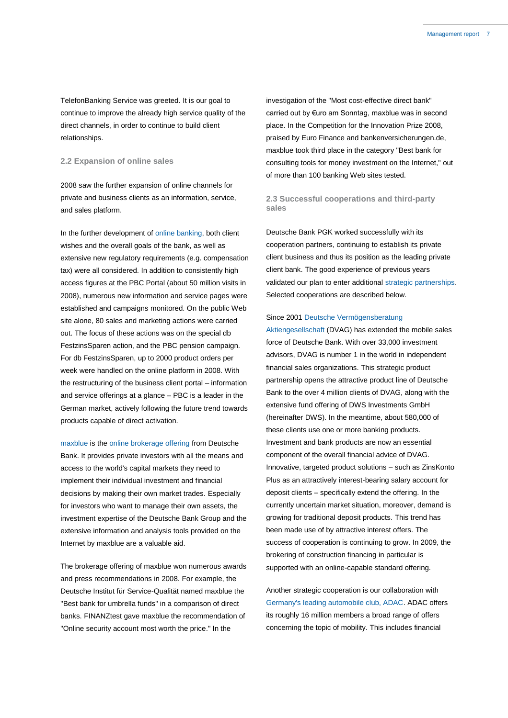TelefonBanking Service was greeted. It is our goal to continue to improve the already high service quality of the direct channels, in order to continue to build client relationships.

### **2.2 Expansion of online sales**

2008 saw the further expansion of online channels for private and business clients as an information, service, and sales platform.

In the further development of online banking, both client wishes and the overall goals of the bank, as well as extensive new regulatory requirements (e.g. compensation tax) were all considered. In addition to consistently high access figures at the PBC Portal (about 50 million visits in 2008), numerous new information and service pages were established and campaigns monitored. On the public Web site alone, 80 sales and marketing actions were carried out. The focus of these actions was on the special db FestzinsSparen action, and the PBC pension campaign. For db FestzinsSparen, up to 2000 product orders per week were handled on the online platform in 2008. With the restructuring of the business client portal – information and service offerings at a glance – PBC is a leader in the German market, actively following the future trend towards products capable of direct activation.

maxblue is the online brokerage offering from Deutsche Bank. It provides private investors with all the means and access to the world's capital markets they need to implement their individual investment and financial decisions by making their own market trades. Especially for investors who want to manage their own assets, the investment expertise of the Deutsche Bank Group and the extensive information and analysis tools provided on the Internet by maxblue are a valuable aid.

The brokerage offering of maxblue won numerous awards and press recommendations in 2008. For example, the Deutsche Institut für Service-Qualität named maxblue the "Best bank for umbrella funds" in a comparison of direct banks. FINANZtest gave maxblue the recommendation of "Online security account most worth the price." In the

investigation of the "Most cost-effective direct bank" carried out by €uro am Sonntag, maxblue was in second place. In the Competition for the Innovation Prize 2008, praised by Euro Finance and bankenversicherungen.de, maxblue took third place in the category "Best bank for consulting tools for money investment on the Internet," out of more than 100 banking Web sites tested.

### **2.3 Successful cooperations and third-party sales**

Deutsche Bank PGK worked successfully with its cooperation partners, continuing to establish its private client business and thus its position as the leading private client bank. The good experience of previous years validated our plan to enter additional strategic partnerships. Selected cooperations are described below.

#### Since 2001 Deutsche Vermögensberatung

Aktiengesellschaft (DVAG) has extended the mobile sales force of Deutsche Bank. With over 33,000 investment advisors, DVAG is number 1 in the world in independent financial sales organizations. This strategic product partnership opens the attractive product line of Deutsche Bank to the over 4 million clients of DVAG, along with the extensive fund offering of DWS Investments GmbH (hereinafter DWS). In the meantime, about 580,000 of these clients use one or more banking products. Investment and bank products are now an essential component of the overall financial advice of DVAG. Innovative, targeted product solutions – such as ZinsKonto Plus as an attractively interest-bearing salary account for deposit clients – specifically extend the offering. In the currently uncertain market situation, moreover, demand is growing for traditional deposit products. This trend has been made use of by attractive interest offers. The success of cooperation is continuing to grow. In 2009, the brokering of construction financing in particular is supported with an online-capable standard offering.

Another strategic cooperation is our collaboration with Germany's leading automobile club, ADAC. ADAC offers its roughly 16 million members a broad range of offers concerning the topic of mobility. This includes financial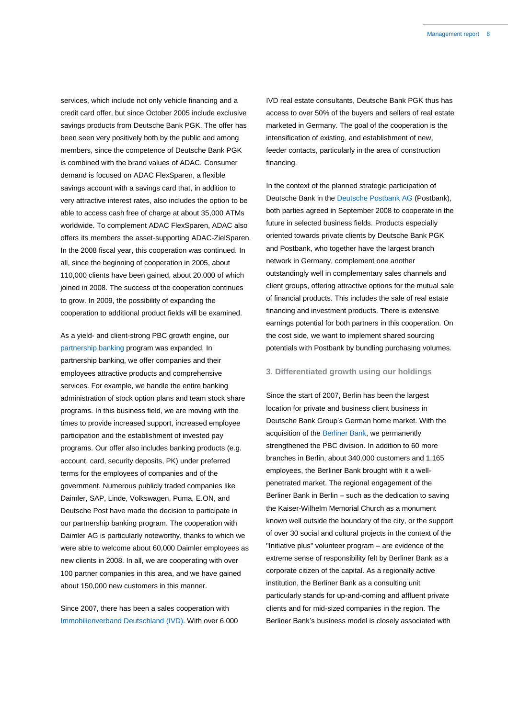services, which include not only vehicle financing and a credit card offer, but since October 2005 include exclusive savings products from Deutsche Bank PGK. The offer has been seen very positively both by the public and among members, since the competence of Deutsche Bank PGK is combined with the brand values of ADAC. Consumer demand is focused on ADAC FlexSparen, a flexible savings account with a savings card that, in addition to very attractive interest rates, also includes the option to be able to access cash free of charge at about 35,000 ATMs worldwide. To complement ADAC FlexSparen, ADAC also offers its members the asset-supporting ADAC-ZielSparen. In the 2008 fiscal year, this cooperation was continued. In all, since the beginning of cooperation in 2005, about 110,000 clients have been gained, about 20,000 of which joined in 2008. The success of the cooperation continues to grow. In 2009, the possibility of expanding the cooperation to additional product fields will be examined.

As a yield- and client-strong PBC growth engine, our partnership banking program was expanded. In partnership banking, we offer companies and their employees attractive products and comprehensive services. For example, we handle the entire banking administration of stock option plans and team stock share programs. In this business field, we are moving with the times to provide increased support, increased employee participation and the establishment of invested pay programs. Our offer also includes banking products (e.g. account, card, security deposits, PK) under preferred terms for the employees of companies and of the government. Numerous publicly traded companies like Daimler, SAP, Linde, Volkswagen, Puma, E.ON, and Deutsche Post have made the decision to participate in our partnership banking program. The cooperation with Daimler AG is particularly noteworthy, thanks to which we were able to welcome about 60,000 Daimler employees as new clients in 2008. In all, we are cooperating with over 100 partner companies in this area, and we have gained about 150,000 new customers in this manner.

Since 2007, there has been a sales cooperation with Immobilienverband Deutschland (IVD). With over 6,000 IVD real estate consultants, Deutsche Bank PGK thus has access to over 50% of the buyers and sellers of real estate marketed in Germany. The goal of the cooperation is the intensification of existing, and establishment of new, feeder contacts, particularly in the area of construction financing.

In the context of the planned strategic participation of Deutsche Bank in the Deutsche Postbank AG (Postbank), both parties agreed in September 2008 to cooperate in the future in selected business fields. Products especially oriented towards private clients by Deutsche Bank PGK and Postbank, who together have the largest branch network in Germany, complement one another outstandingly well in complementary sales channels and client groups, offering attractive options for the mutual sale of financial products. This includes the sale of real estate financing and investment products. There is extensive earnings potential for both partners in this cooperation. On the cost side, we want to implement shared sourcing potentials with Postbank by bundling purchasing volumes.

### **3. Differentiated growth using our holdings**

Since the start of 2007, Berlin has been the largest location for private and business client business in Deutsche Bank Group's German home market. With the acquisition of the Berliner Bank, we permanently strengthened the PBC division. In addition to 60 more branches in Berlin, about 340,000 customers and 1,165 employees, the Berliner Bank brought with it a wellpenetrated market. The regional engagement of the Berliner Bank in Berlin – such as the dedication to saving the Kaiser-Wilhelm Memorial Church as a monument known well outside the boundary of the city, or the support of over 30 social and cultural projects in the context of the "Initiative plus" volunteer program – are evidence of the extreme sense of responsibility felt by Berliner Bank as a corporate citizen of the capital. As a regionally active institution, the Berliner Bank as a consulting unit particularly stands for up-and-coming and affluent private clients and for mid-sized companies in the region. The Berliner Bank's business model is closely associated with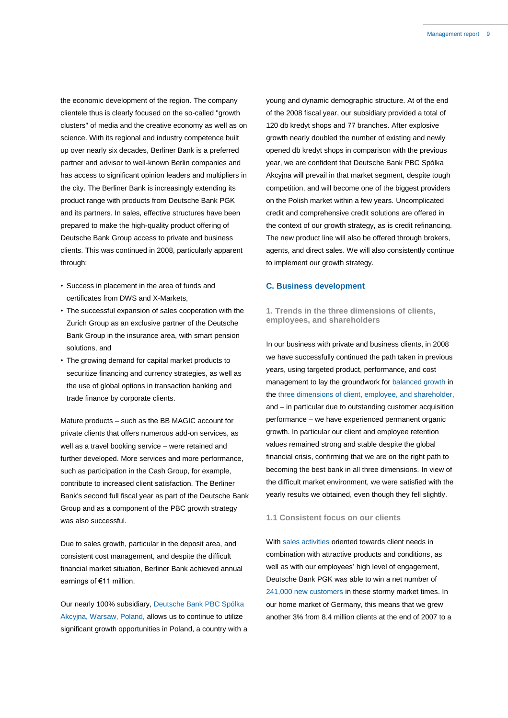the economic development of the region. The company clientele thus is clearly focused on the so-called "growth clusters" of media and the creative economy as well as on science. With its regional and industry competence built up over nearly six decades, Berliner Bank is a preferred partner and advisor to well-known Berlin companies and has access to significant opinion leaders and multipliers in the city. The Berliner Bank is increasingly extending its product range with products from Deutsche Bank PGK and its partners. In sales, effective structures have been prepared to make the high-quality product offering of Deutsche Bank Group access to private and business clients. This was continued in 2008, particularly apparent through:

- Success in placement in the area of funds and certificates from DWS and X-Markets,
- The successful expansion of sales cooperation with the Zurich Group as an exclusive partner of the Deutsche Bank Group in the insurance area, with smart pension solutions, and
- The growing demand for capital market products to securitize financing and currency strategies, as well as the use of global options in transaction banking and trade finance by corporate clients.

Mature products – such as the BB MAGIC account for private clients that offers numerous add-on services, as well as a travel booking service – were retained and further developed. More services and more performance, such as participation in the Cash Group, for example, contribute to increased client satisfaction. The Berliner Bank's second full fiscal year as part of the Deutsche Bank Group and as a component of the PBC growth strategy was also successful.

Due to sales growth, particular in the deposit area, and consistent cost management, and despite the difficult financial market situation, Berliner Bank achieved annual earnings of €11 million.

Our nearly 100% subsidiary, Deutsche Bank PBC Spólka Akcyjna, Warsaw, Poland, allows us to continue to utilize significant growth opportunities in Poland, a country with a young and dynamic demographic structure. At of the end of the 2008 fiscal year, our subsidiary provided a total of 120 db kredyt shops and 77 branches. After explosive growth nearly doubled the number of existing and newly opened db kredyt shops in comparison with the previous year, we are confident that Deutsche Bank PBC Spólka Akcyjna will prevail in that market segment, despite tough competition, and will become one of the biggest providers on the Polish market within a few years. Uncomplicated credit and comprehensive credit solutions are offered in the context of our growth strategy, as is credit refinancing. The new product line will also be offered through brokers, agents, and direct sales. We will also consistently continue to implement our growth strategy.

### **C. Business development**

### **1. Trends in the three dimensions of clients, employees, and shareholders**

In our business with private and business clients, in 2008 we have successfully continued the path taken in previous years, using targeted product, performance, and cost management to lay the groundwork for balanced growth in the three dimensions of client, employee, and shareholder, and – in particular due to outstanding customer acquisition performance – we have experienced permanent organic growth. In particular our client and employee retention values remained strong and stable despite the global financial crisis, confirming that we are on the right path to becoming the best bank in all three dimensions. In view of the difficult market environment, we were satisfied with the yearly results we obtained, even though they fell slightly.

### **1.1 Consistent focus on our clients**

With sales activities oriented towards client needs in combination with attractive products and conditions, as well as with our employees' high level of engagement, Deutsche Bank PGK was able to win a net number of 241,000 new customers in these stormy market times. In our home market of Germany, this means that we grew another 3% from 8.4 million clients at the end of 2007 to a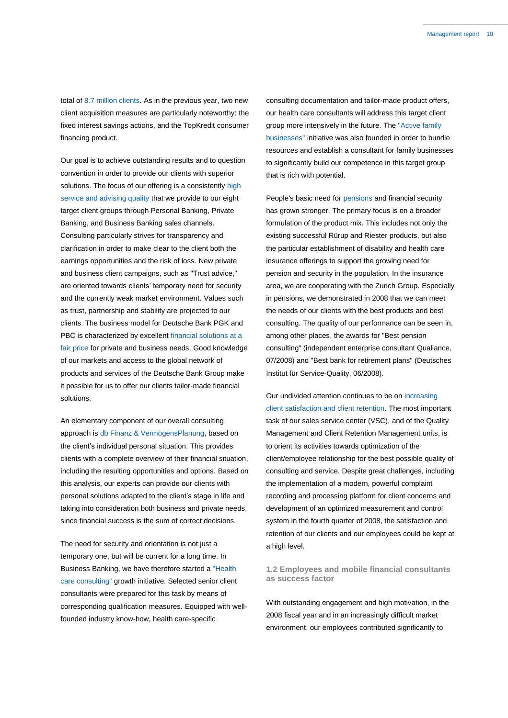total of 8.7 million clients. As in the previous year, two new client acquisition measures are particularly noteworthy: the fixed interest savings actions, and the TopKredit consumer financing product.

Our goal is to achieve outstanding results and to question convention in order to provide our clients with superior solutions. The focus of our offering is a consistently high service and advising quality that we provide to our eight target client groups through Personal Banking, Private Banking, and Business Banking sales channels. Consulting particularly strives for transparency and clarification in order to make clear to the client both the earnings opportunities and the risk of loss. New private and business client campaigns, such as "Trust advice," are oriented towards clients' temporary need for security and the currently weak market environment. Values such as trust, partnership and stability are projected to our clients. The business model for Deutsche Bank PGK and PBC is characterized by excellent financial solutions at a fair price for private and business needs. Good knowledge of our markets and access to the global network of products and services of the Deutsche Bank Group make it possible for us to offer our clients tailor-made financial solutions.

An elementary component of our overall consulting approach is db Finanz & VermögensPlanung, based on the client's individual personal situation. This provides clients with a complete overview of their financial situation, including the resulting opportunities and options. Based on this analysis, our experts can provide our clients with personal solutions adapted to the client's stage in life and taking into consideration both business and private needs, since financial success is the sum of correct decisions.

The need for security and orientation is not just a temporary one, but will be current for a long time. In Business Banking, we have therefore started a "Health care consulting" growth initiative. Selected senior client consultants were prepared for this task by means of corresponding qualification measures. Equipped with wellfounded industry know-how, health care-specific

consulting documentation and tailor-made product offers, our health care consultants will address this target client group more intensively in the future. The "Active family businesses" initiative was also founded in order to bundle resources and establish a consultant for family businesses to significantly build our competence in this target group that is rich with potential.

People's basic need for pensions and financial security has grown stronger. The primary focus is on a broader formulation of the product mix. This includes not only the existing successful Rürup and Riester products, but also the particular establishment of disability and health care insurance offerings to support the growing need for pension and security in the population. In the insurance area, we are cooperating with the Zurich Group. Especially in pensions, we demonstrated in 2008 that we can meet the needs of our clients with the best products and best consulting. The quality of our performance can be seen in, among other places, the awards for "Best pension consulting" (independent enterprise consultant Qualiance, 07/2008) and "Best bank for retirement plans" (Deutsches Institut für Service-Quality, 06/2008).

Our undivided attention continues to be on increasing client satisfaction and client retention. The most important task of our sales service center (VSC), and of the Quality Management and Client Retention Management units, is to orient its activities towards optimization of the client/employee relationship for the best possible quality of consulting and service. Despite great challenges, including the implementation of a modern, powerful complaint recording and processing platform for client concerns and development of an optimized measurement and control system in the fourth quarter of 2008, the satisfaction and retention of our clients and our employees could be kept at a high level.

### **1.2 Employees and mobile financial consultants as success factor**

With outstanding engagement and high motivation, in the 2008 fiscal year and in an increasingly difficult market environment, our employees contributed significantly to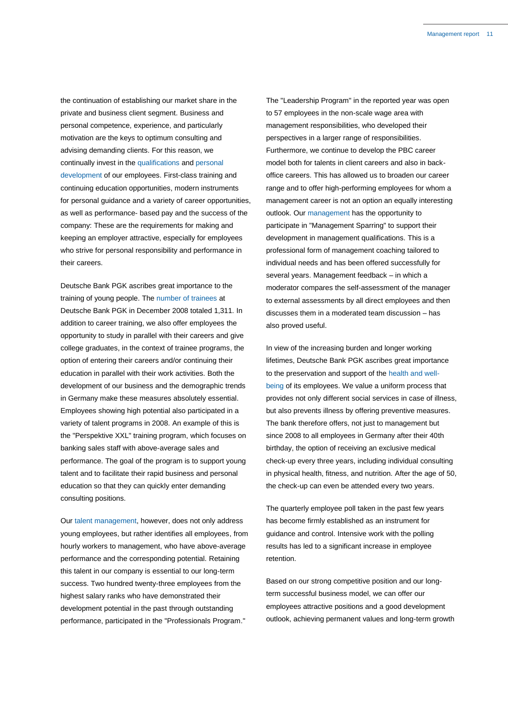the continuation of establishing our market share in the private and business client segment. Business and personal competence, experience, and particularly motivation are the keys to optimum consulting and advising demanding clients. For this reason, we continually invest in the qualifications and personal development of our employees. First-class training and continuing education opportunities, modern instruments for personal guidance and a variety of career opportunities, as well as performance- based pay and the success of the company: These are the requirements for making and keeping an employer attractive, especially for employees who strive for personal responsibility and performance in their careers.

Deutsche Bank PGK ascribes great importance to the training of young people. The number of trainees at Deutsche Bank PGK in December 2008 totaled 1,311. In addition to career training, we also offer employees the opportunity to study in parallel with their careers and give college graduates, in the context of trainee programs, the option of entering their careers and/or continuing their education in parallel with their work activities. Both the development of our business and the demographic trends in Germany make these measures absolutely essential. Employees showing high potential also participated in a variety of talent programs in 2008. An example of this is the "Perspektive XXL" training program, which focuses on banking sales staff with above-average sales and performance. The goal of the program is to support young talent and to facilitate their rapid business and personal education so that they can quickly enter demanding consulting positions.

Our talent management, however, does not only address young employees, but rather identifies all employees, from hourly workers to management, who have above-average performance and the corresponding potential. Retaining this talent in our company is essential to our long-term success. Two hundred twenty-three employees from the highest salary ranks who have demonstrated their development potential in the past through outstanding performance, participated in the "Professionals Program."

The "Leadership Program" in the reported year was open to 57 employees in the non-scale wage area with management responsibilities, who developed their perspectives in a larger range of responsibilities. Furthermore, we continue to develop the PBC career model both for talents in client careers and also in backoffice careers. This has allowed us to broaden our career range and to offer high-performing employees for whom a management career is not an option an equally interesting outlook. Our management has the opportunity to participate in "Management Sparring" to support their development in management qualifications. This is a professional form of management coaching tailored to individual needs and has been offered successfully for several years. Management feedback – in which a moderator compares the self-assessment of the manager to external assessments by all direct employees and then discusses them in a moderated team discussion – has also proved useful.

In view of the increasing burden and longer working lifetimes, Deutsche Bank PGK ascribes great importance to the preservation and support of the health and wellbeing of its employees. We value a uniform process that provides not only different social services in case of illness, but also prevents illness by offering preventive measures. The bank therefore offers, not just to management but since 2008 to all employees in Germany after their 40th birthday, the option of receiving an exclusive medical check-up every three years, including individual consulting in physical health, fitness, and nutrition. After the age of 50, the check-up can even be attended every two years.

The quarterly employee poll taken in the past few years has become firmly established as an instrument for guidance and control. Intensive work with the polling results has led to a significant increase in employee retention.

Based on our strong competitive position and our longterm successful business model, we can offer our employees attractive positions and a good development outlook, achieving permanent values and long-term growth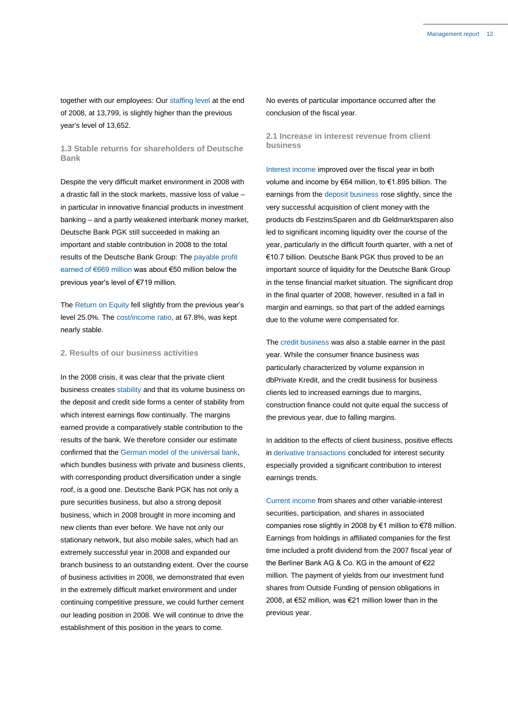together with our employees: Our staffing level at the end of 2008, at 13,799, is slightly higher than the previous year's level of 13,652.

**1.3 Stable returns for shareholders of Deutsche Bank**

Despite the very difficult market environment in 2008 with a drastic fall in the stock markets, massive loss of value – in particular in innovative financial products in investment banking – and a partly weakened interbank money market, Deutsche Bank PGK still succeeded in making an important and stable contribution in 2008 to the total results of the Deutsche Bank Group: The payable profit earned of €669 million was about €50 million below the previous year's level of €719 million.

The Return on Equity fell slightly from the previous year's level 25.0%. The cost/income ratio, at 67.8%, was kept nearly stable.

### **2. Results of our business activities**

In the 2008 crisis, it was clear that the private client business creates stability and that its volume business on the deposit and credit side forms a center of stability from which interest earnings flow continually. The margins earned provide a comparatively stable contribution to the results of the bank. We therefore consider our estimate confirmed that the German model of the universal bank, which bundles business with private and business clients, with corresponding product diversification under a single roof, is a good one. Deutsche Bank PGK has not only a pure securities business, but also a strong deposit business, which in 2008 brought in more incoming and new clients than ever before. We have not only our stationary network, but also mobile sales, which had an extremely successful year in 2008 and expanded our branch business to an outstanding extent. Over the course of business activities in 2008, we demonstrated that even in the extremely difficult market environment and under continuing competitive pressure, we could further cement our leading position in 2008. We will continue to drive the establishment of this position in the years to come.

No events of particular importance occurred after the conclusion of the fiscal year.

**2.1 Increase in interest revenue from client business**

Interest income improved over the fiscal year in both volume and income by €64 million, to €1.895 billion. The earnings from the deposit business rose slightly, since the very successful acquisition of client money with the products db FestzinsSparen and db Geldmarktsparen also led to significant incoming liquidity over the course of the year, particularly in the difficult fourth quarter, with a net of €10.7 billion. Deutsche Bank PGK thus proved to be an important source of liquidity for the Deutsche Bank Group in the tense financial market situation. The significant drop in the final quarter of 2008, however, resulted in a fall in margin and earnings, so that part of the added earnings due to the volume were compensated for.

The credit business was also a stable earner in the past year. While the consumer finance business was particularly characterized by volume expansion in dbPrivate Kredit, and the credit business for business clients led to increased earnings due to margins, construction finance could not quite equal the success of the previous year, due to falling margins.

In addition to the effects of client business, positive effects in derivative transactions concluded for interest security especially provided a significant contribution to interest earnings trends.

Current income from shares and other variable-interest securities, participation, and shares in associated companies rose slightly in 2008 by €1 million to €78 million. Earnings from holdings in affiliated companies for the first time included a profit dividend from the 2007 fiscal year of the Berliner Bank AG & Co. KG in the amount of €22 million. The payment of yields from our investment fund shares from Outside Funding of pension obligations in 2008, at €52 million, was €21 million lower than in the previous year.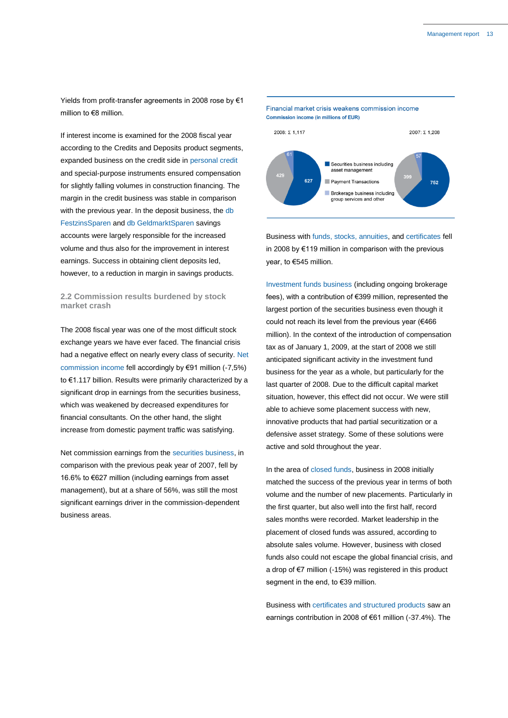Yields from profit-transfer agreements in 2008 rose by €1 million to €8 million.

If interest income is examined for the 2008 fiscal year according to the Credits and Deposits product segments, expanded business on the credit side in personal credit and special-purpose instruments ensured compensation for slightly falling volumes in construction financing. The margin in the credit business was stable in comparison with the previous year. In the deposit business, the db FestzinsSparen and db GeldmarktSparen savings accounts were largely responsible for the increased volume and thus also for the improvement in interest earnings. Success in obtaining client deposits led, however, to a reduction in margin in savings products.

### **2.2 Commission results burdened by stock market crash**

The 2008 fiscal year was one of the most difficult stock exchange years we have ever faced. The financial crisis had a negative effect on nearly every class of security. Net commission income fell accordingly by €91 million (-7,5%) to €1.117 billion. Results were primarily characterized by a significant drop in earnings from the securities business, which was weakened by decreased expenditures for financial consultants. On the other hand, the slight increase from domestic payment traffic was satisfying.

Net commission earnings from the securities business, in comparison with the previous peak year of 2007, fell by 16.6% to €627 million (including earnings from asset management), but at a share of 56%, was still the most significant earnings driver in the commission-dependent business areas.



Business with funds, stocks, annuities, and certificates fell in 2008 by €119 million in comparison with the previous year, to €545 million.

Investment funds business (including ongoing brokerage fees), with a contribution of €399 million, represented the largest portion of the securities business even though it could not reach its level from the previous year (€466 million). In the context of the introduction of compensation tax as of January 1, 2009, at the start of 2008 we still anticipated significant activity in the investment fund business for the year as a whole, but particularly for the last quarter of 2008. Due to the difficult capital market situation, however, this effect did not occur. We were still able to achieve some placement success with new, innovative products that had partial securitization or a defensive asset strategy. Some of these solutions were active and sold throughout the year.

In the area of closed funds, business in 2008 initially matched the success of the previous year in terms of both volume and the number of new placements. Particularly in the first quarter, but also well into the first half, record sales months were recorded. Market leadership in the placement of closed funds was assured, according to absolute sales volume. However, business with closed funds also could not escape the global financial crisis, and a drop of €7 million (-15%) was registered in this product segment in the end, to €39 million.

Business with certificates and structured products saw an earnings contribution in 2008 of €61 million (-37.4%). The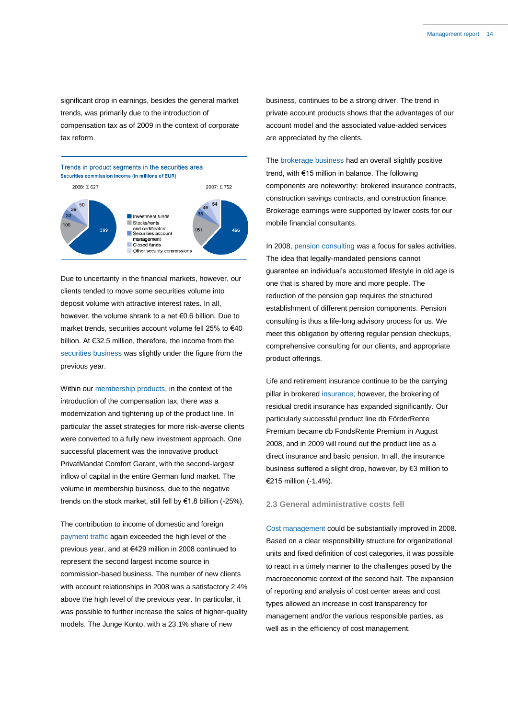significant drop in earnings, besides the general market trends, was primarily due to the introduction of compensation tax as of 2009 in the context of corporate tax reform.



Due to uncertainty in the financial markets, however, our clients tended to move some securities volume into deposit volume with attractive interest rates. In all, however, the volume shrank to a net €0.6 billion. Due to market trends, securities account volume fell 25% to €40 billion. At €32.5 million, therefore, the income from the securities business was slightly under the figure from the previous year.

Within our membership products, in the context of the introduction of the compensation tax, there was a modernization and tightening up of the product line. In particular the asset strategies for more risk-averse clients were converted to a fully new investment approach. One successful placement was the innovative product PrivatMandat Comfort Garant, with the second-largest inflow of capital in the entire German fund market. The volume in membership business, due to the negative trends on the stock market, still fell by €1.8 billion (-25%).

The contribution to income of domestic and foreign payment traffic again exceeded the high level of the previous year, and at €429 million in 2008 continued to represent the second largest income source in commission-based business. The number of new clients with account relationships in 2008 was a satisfactory 2.4% above the high level of the previous year. In particular, it was possible to further increase the sales of higher-quality models. The Junge Konto, with a 23.1% share of new

business, continues to be a strong driver. The trend in private account products shows that the advantages of our account model and the associated value-added services are appreciated by the clients.

The brokerage business had an overall slightly positive trend, with €15 million in balance. The following components are noteworthy: brokered insurance contracts, construction savings contracts, and construction finance. Brokerage earnings were supported by lower costs for our mobile financial consultants.

In 2008, pension consulting was a focus for sales activities. The idea that legally-mandated pensions cannot guarantee an individual's accustomed lifestyle in old age is one that is shared by more and more people. The reduction of the pension gap requires the structured establishment of different pension components. Pension consulting is thus a life-long advisory process for us. We meet this obligation by offering regular pension checkups, comprehensive consulting for our clients, and appropriate product offerings.

Life and retirement insurance continue to be the carrying pillar in brokered insurance; however, the brokering of residual credit insurance has expanded significantly. Our particularly successful product line db FörderRente Premium became db FondsRente Premium in August 2008, and in 2009 will round out the product line as a direct insurance and basic pension. In all, the insurance business suffered a slight drop, however, by €3 million to €215 million (-1.4%).

### **2.3 General administrative costs fell**

Cost management could be substantially improved in 2008. Based on a clear responsibility structure for organizational units and fixed definition of cost categories, it was possible to react in a timely manner to the challenges posed by the macroeconomic context of the second half. The expansion of reporting and analysis of cost center areas and cost types allowed an increase in cost transparency for management and/or the various responsible parties, as well as in the efficiency of cost management.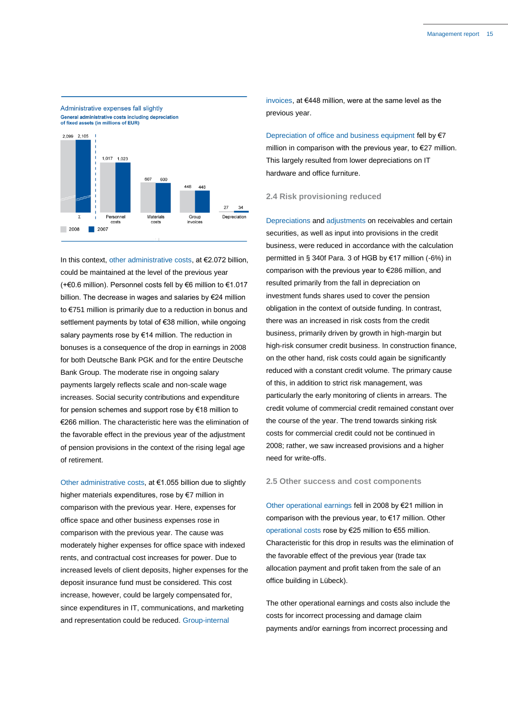

In this context, other administrative costs, at €2.072 billion, could be maintained at the level of the previous year (+€0.6 million). Personnel costs fell by €6 million to €1.017 billion. The decrease in wages and salaries by €24 million to €751 million is primarily due to a reduction in bonus and settlement payments by total of €38 million, while ongoing salary payments rose by €14 million. The reduction in bonuses is a consequence of the drop in earnings in 2008 for both Deutsche Bank PGK and for the entire Deutsche Bank Group. The moderate rise in ongoing salary payments largely reflects scale and non-scale wage increases. Social security contributions and expenditure for pension schemes and support rose by €18 million to €266 million. The characteristic here was the elimination of the favorable effect in the previous year of the adjustment of pension provisions in the context of the rising legal age of retirement.

Other administrative costs, at €1.055 billion due to slightly higher materials expenditures, rose by €7 million in comparison with the previous year. Here, expenses for office space and other business expenses rose in comparison with the previous year. The cause was moderately higher expenses for office space with indexed rents, and contractual cost increases for power. Due to increased levels of client deposits, higher expenses for the deposit insurance fund must be considered. This cost increase, however, could be largely compensated for, since expenditures in IT, communications, and marketing and representation could be reduced. Group-internal

invoices, at €448 million, were at the same level as the previous year.

Depreciation of office and business equipment fell by €7 million in comparison with the previous year, to €27 million. This largely resulted from lower depreciations on IT hardware and office furniture.

### **2.4 Risk provisioning reduced**

Depreciations and adjustments on receivables and certain securities, as well as input into provisions in the credit business, were reduced in accordance with the calculation permitted in § 340f Para. 3 of HGB by €17 million (-6%) in comparison with the previous year to €286 million, and resulted primarily from the fall in depreciation on investment funds shares used to cover the pension obligation in the context of outside funding. In contrast, there was an increased in risk costs from the credit business, primarily driven by growth in high-margin but high-risk consumer credit business. In construction finance, on the other hand, risk costs could again be significantly reduced with a constant credit volume. The primary cause of this, in addition to strict risk management, was particularly the early monitoring of clients in arrears. The credit volume of commercial credit remained constant over the course of the year. The trend towards sinking risk costs for commercial credit could not be continued in 2008; rather, we saw increased provisions and a higher need for write-offs.

### **2.5 Other success and cost components**

Other operational earnings fell in 2008 by €21 million in comparison with the previous year, to €17 million. Other operational costs rose by €25 million to €55 million. Characteristic for this drop in results was the elimination of the favorable effect of the previous year (trade tax allocation payment and profit taken from the sale of an office building in Lübeck).

The other operational earnings and costs also include the costs for incorrect processing and damage claim payments and/or earnings from incorrect processing and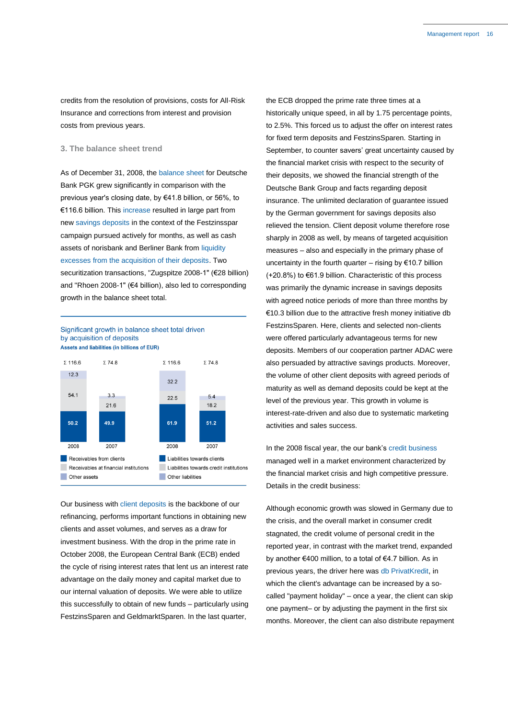credits from the resolution of provisions, costs for All-Risk Insurance and corrections from interest and provision costs from previous years.

### **3. The balance sheet trend**

As of December 31, 2008, the balance sheet for Deutsche Bank PGK grew significantly in comparison with the previous year's closing date, by €41.8 billion, or 56%, to €116.6 billion. This increase resulted in large part from new savings deposits in the context of the Festzinsspar campaign pursued actively for months, as well as cash assets of norisbank and Berliner Bank from liquidity excesses from the acquisition of their deposits. Two securitization transactions, "Zugspitze 2008-1" (€28 billion) and "Rhoen 2008-1" (€4 billion), also led to corresponding growth in the balance sheet total.

Significant growth in balance sheet total driven by acquisition of deposits Assets and liabilities (in billions of EUR)



Our business with client deposits is the backbone of our refinancing, performs important functions in obtaining new clients and asset volumes, and serves as a draw for investment business. With the drop in the prime rate in October 2008, the European Central Bank (ECB) ended the cycle of rising interest rates that lent us an interest rate advantage on the daily money and capital market due to our internal valuation of deposits. We were able to utilize this successfully to obtain of new funds – particularly using FestzinsSparen and GeldmarktSparen. In the last quarter,

the ECB dropped the prime rate three times at a historically unique speed, in all by 1.75 percentage points, to 2.5%. This forced us to adjust the offer on interest rates for fixed term deposits and FestzinsSparen. Starting in September, to counter savers' great uncertainty caused by the financial market crisis with respect to the security of their deposits, we showed the financial strength of the Deutsche Bank Group and facts regarding deposit insurance. The unlimited declaration of guarantee issued by the German government for savings deposits also relieved the tension. Client deposit volume therefore rose sharply in 2008 as well, by means of targeted acquisition measures – also and especially in the primary phase of uncertainty in the fourth quarter – rising by  $€10.7$  billion (+20.8%) to €61.9 billion. Characteristic of this process was primarily the dynamic increase in savings deposits with agreed notice periods of more than three months by €10.3 billion due to the attractive fresh money initiative db FestzinsSparen. Here, clients and selected non-clients were offered particularly advantageous terms for new deposits. Members of our cooperation partner ADAC were also persuaded by attractive savings products. Moreover, the volume of other client deposits with agreed periods of maturity as well as demand deposits could be kept at the level of the previous year. This growth in volume is interest-rate-driven and also due to systematic marketing activities and sales success.

In the 2008 fiscal year, the our bank's credit business managed well in a market environment characterized by the financial market crisis and high competitive pressure. Details in the credit business:

Although economic growth was slowed in Germany due to the crisis, and the overall market in consumer credit stagnated, the credit volume of personal credit in the reported year, in contrast with the market trend, expanded by another €400 million, to a total of €4.7 billion. As in previous years, the driver here was db PrivatKredit, in which the client's advantage can be increased by a socalled "payment holiday" – once a year, the client can skip one payment– or by adjusting the payment in the first six months. Moreover, the client can also distribute repayment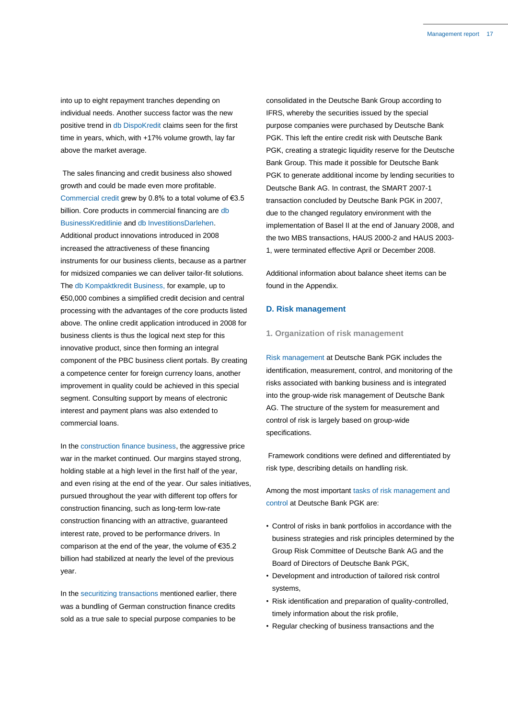into up to eight repayment tranches depending on individual needs. Another success factor was the new positive trend in db DispoKredit claims seen for the first time in years, which, with +17% volume growth, lay far above the market average.

The sales financing and credit business also showed growth and could be made even more profitable. Commercial credit grew by 0.8% to a total volume of €3.5 billion. Core products in commercial financing are db BusinessKreditlinie and db InvestitionsDarlehen. Additional product innovations introduced in 2008 increased the attractiveness of these financing instruments for our business clients, because as a partner for midsized companies we can deliver tailor-fit solutions. The db Kompaktkredit Business, for example, up to €50,000 combines a simplified credit decision and central processing with the advantages of the core products listed above. The online credit application introduced in 2008 for business clients is thus the logical next step for this innovative product, since then forming an integral component of the PBC business client portals. By creating a competence center for foreign currency loans, another improvement in quality could be achieved in this special segment. Consulting support by means of electronic interest and payment plans was also extended to commercial loans.

In the construction finance business, the aggressive price war in the market continued. Our margins stayed strong, holding stable at a high level in the first half of the year, and even rising at the end of the year. Our sales initiatives, pursued throughout the year with different top offers for construction financing, such as long-term low-rate construction financing with an attractive, guaranteed interest rate, proved to be performance drivers. In comparison at the end of the year, the volume of €35.2 billion had stabilized at nearly the level of the previous year.

In the securitizing transactions mentioned earlier, there was a bundling of German construction finance credits sold as a true sale to special purpose companies to be consolidated in the Deutsche Bank Group according to IFRS, whereby the securities issued by the special purpose companies were purchased by Deutsche Bank PGK. This left the entire credit risk with Deutsche Bank PGK, creating a strategic liquidity reserve for the Deutsche Bank Group. This made it possible for Deutsche Bank PGK to generate additional income by lending securities to Deutsche Bank AG. In contrast, the SMART 2007-1 transaction concluded by Deutsche Bank PGK in 2007, due to the changed regulatory environment with the implementation of Basel II at the end of January 2008, and the two MBS transactions, HAUS 2000-2 and HAUS 2003- 1, were terminated effective April or December 2008.

Additional information about balance sheet items can be found in the Appendix.

### **D. Risk management**

### **1. Organization of risk management**

Risk management at Deutsche Bank PGK includes the identification, measurement, control, and monitoring of the risks associated with banking business and is integrated into the group-wide risk management of Deutsche Bank AG. The structure of the system for measurement and control of risk is largely based on group-wide specifications.

Framework conditions were defined and differentiated by risk type, describing details on handling risk.

Among the most important tasks of risk management and control at Deutsche Bank PGK are:

- Control of risks in bank portfolios in accordance with the business strategies and risk principles determined by the Group Risk Committee of Deutsche Bank AG and the Board of Directors of Deutsche Bank PGK,
- Development and introduction of tailored risk control systems,
- Risk identification and preparation of quality-controlled, timely information about the risk profile,
- Regular checking of business transactions and the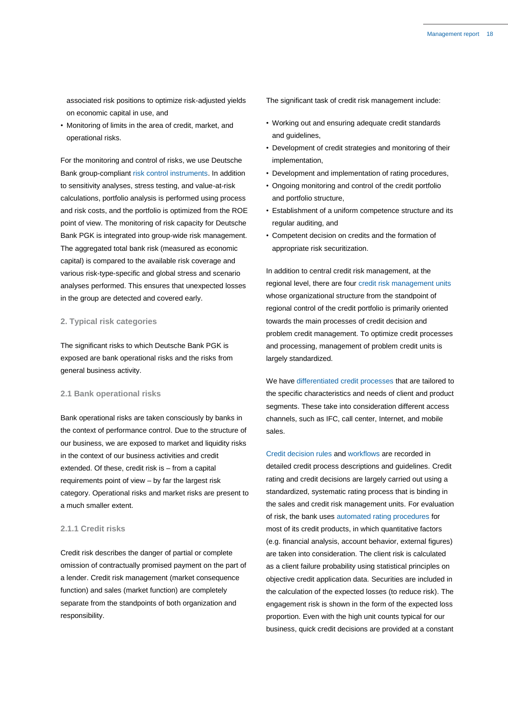associated risk positions to optimize risk-adjusted yields on economic capital in use, and

• Monitoring of limits in the area of credit, market, and operational risks.

For the monitoring and control of risks, we use Deutsche Bank group-compliant risk control instruments. In addition to sensitivity analyses, stress testing, and value-at-risk calculations, portfolio analysis is performed using process and risk costs, and the portfolio is optimized from the ROE point of view. The monitoring of risk capacity for Deutsche Bank PGK is integrated into group-wide risk management. The aggregated total bank risk (measured as economic capital) is compared to the available risk coverage and various risk-type-specific and global stress and scenario analyses performed. This ensures that unexpected losses in the group are detected and covered early.

### **2. Typical risk categories**

The significant risks to which Deutsche Bank PGK is exposed are bank operational risks and the risks from general business activity.

### **2.1 Bank operational risks**

Bank operational risks are taken consciously by banks in the context of performance control. Due to the structure of our business, we are exposed to market and liquidity risks in the context of our business activities and credit extended. Of these, credit risk is – from a capital requirements point of view – by far the largest risk category. Operational risks and market risks are present to a much smaller extent.

### **2.1.1 Credit risks**

Credit risk describes the danger of partial or complete omission of contractually promised payment on the part of a lender. Credit risk management (market consequence function) and sales (market function) are completely separate from the standpoints of both organization and responsibility.

The significant task of credit risk management include:

- Working out and ensuring adequate credit standards and guidelines,
- Development of credit strategies and monitoring of their implementation,
- Development and implementation of rating procedures,
- Ongoing monitoring and control of the credit portfolio and portfolio structure,
- Establishment of a uniform competence structure and its regular auditing, and
- Competent decision on credits and the formation of appropriate risk securitization.

In addition to central credit risk management, at the regional level, there are four credit risk management units whose organizational structure from the standpoint of regional control of the credit portfolio is primarily oriented towards the main processes of credit decision and problem credit management. To optimize credit processes and processing, management of problem credit units is largely standardized.

We have differentiated credit processes that are tailored to the specific characteristics and needs of client and product segments. These take into consideration different access channels, such as IFC, call center, Internet, and mobile sales.

Credit decision rules and workflows are recorded in detailed credit process descriptions and guidelines. Credit rating and credit decisions are largely carried out using a standardized, systematic rating process that is binding in the sales and credit risk management units. For evaluation of risk, the bank uses automated rating procedures for most of its credit products, in which quantitative factors (e.g. financial analysis, account behavior, external figures) are taken into consideration. The client risk is calculated as a client failure probability using statistical principles on objective credit application data. Securities are included in the calculation of the expected losses (to reduce risk). The engagement risk is shown in the form of the expected loss proportion. Even with the high unit counts typical for our business, quick credit decisions are provided at a constant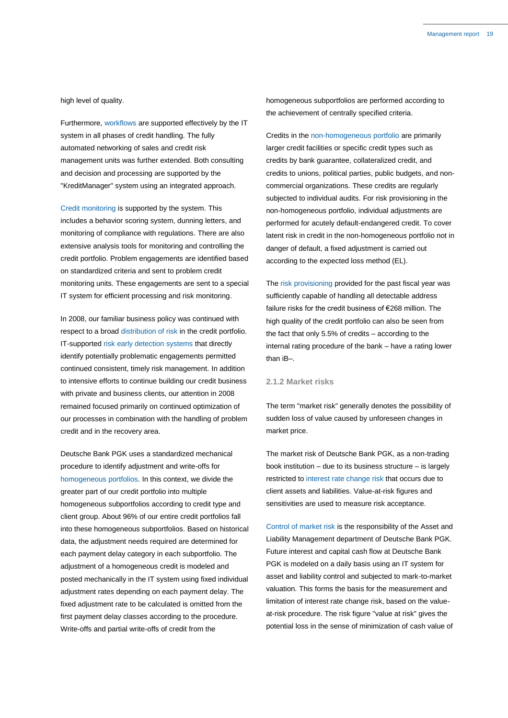high level of quality.

Furthermore, workflows are supported effectively by the IT system in all phases of credit handling. The fully automated networking of sales and credit risk management units was further extended. Both consulting and decision and processing are supported by the "KreditManager" system using an integrated approach.

Credit monitoring is supported by the system. This includes a behavior scoring system, dunning letters, and monitoring of compliance with regulations. There are also extensive analysis tools for monitoring and controlling the credit portfolio. Problem engagements are identified based on standardized criteria and sent to problem credit monitoring units. These engagements are sent to a special IT system for efficient processing and risk monitoring.

In 2008, our familiar business policy was continued with respect to a broad distribution of risk in the credit portfolio. IT-supported risk early detection systems that directly identify potentially problematic engagements permitted continued consistent, timely risk management. In addition to intensive efforts to continue building our credit business with private and business clients, our attention in 2008 remained focused primarily on continued optimization of our processes in combination with the handling of problem credit and in the recovery area.

Deutsche Bank PGK uses a standardized mechanical procedure to identify adjustment and write-offs for homogeneous portfolios. In this context, we divide the greater part of our credit portfolio into multiple homogeneous subportfolios according to credit type and client group. About 96% of our entire credit portfolios fall into these homogeneous subportfolios. Based on historical data, the adjustment needs required are determined for each payment delay category in each subportfolio. The adjustment of a homogeneous credit is modeled and posted mechanically in the IT system using fixed individual adjustment rates depending on each payment delay. The fixed adjustment rate to be calculated is omitted from the first payment delay classes according to the procedure. Write-offs and partial write-offs of credit from the

homogeneous subportfolios are performed according to the achievement of centrally specified criteria.

Credits in the non-homogeneous portfolio are primarily larger credit facilities or specific credit types such as credits by bank guarantee, collateralized credit, and credits to unions, political parties, public budgets, and noncommercial organizations. These credits are regularly subjected to individual audits. For risk provisioning in the non-homogeneous portfolio, individual adjustments are performed for acutely default-endangered credit. To cover latent risk in credit in the non-homogeneous portfolio not in danger of default, a fixed adjustment is carried out according to the expected loss method (EL).

The risk provisioning provided for the past fiscal year was sufficiently capable of handling all detectable address failure risks for the credit business of €268 million. The high quality of the credit portfolio can also be seen from the fact that only 5.5% of credits – according to the internal rating procedure of the bank – have a rating lower than iB–.

### **2.1.2 Market risks**

The term "market risk" generally denotes the possibility of sudden loss of value caused by unforeseen changes in market price.

The market risk of Deutsche Bank PGK, as a non-trading book institution – due to its business structure – is largely restricted to interest rate change risk that occurs due to client assets and liabilities. Value-at-risk figures and sensitivities are used to measure risk acceptance.

Control of market risk is the responsibility of the Asset and Liability Management department of Deutsche Bank PGK. Future interest and capital cash flow at Deutsche Bank PGK is modeled on a daily basis using an IT system for asset and liability control and subjected to mark-to-market valuation. This forms the basis for the measurement and limitation of interest rate change risk, based on the valueat-risk procedure. The risk figure "value at risk" gives the potential loss in the sense of minimization of cash value of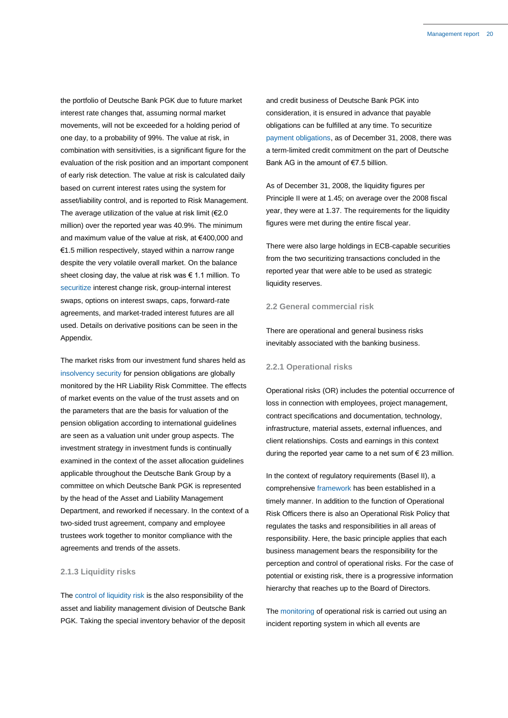the portfolio of Deutsche Bank PGK due to future market interest rate changes that, assuming normal market movements, will not be exceeded for a holding period of one day, to a probability of 99%. The value at risk, in combination with sensitivities, is a significant figure for the evaluation of the risk position and an important component of early risk detection. The value at risk is calculated daily based on current interest rates using the system for asset/liability control, and is reported to Risk Management. The average utilization of the value at risk limit ( $€2.0$ million) over the reported year was 40.9%. The minimum and maximum value of the value at risk, at €400,000 and €1.5 million respectively, stayed within a narrow range despite the very volatile overall market. On the balance sheet closing day, the value at risk was € 1.1 million. To securitize interest change risk, group-internal interest swaps, options on interest swaps, caps, forward-rate agreements, and market-traded interest futures are all used. Details on derivative positions can be seen in the Appendix.

The market risks from our investment fund shares held as insolvency security for pension obligations are globally monitored by the HR Liability Risk Committee. The effects of market events on the value of the trust assets and on the parameters that are the basis for valuation of the pension obligation according to international guidelines are seen as a valuation unit under group aspects. The investment strategy in investment funds is continually examined in the context of the asset allocation guidelines applicable throughout the Deutsche Bank Group by a committee on which Deutsche Bank PGK is represented by the head of the Asset and Liability Management Department, and reworked if necessary. In the context of a two-sided trust agreement, company and employee trustees work together to monitor compliance with the agreements and trends of the assets.

### **2.1.3 Liquidity risks**

The control of liquidity risk is the also responsibility of the asset and liability management division of Deutsche Bank PGK. Taking the special inventory behavior of the deposit and credit business of Deutsche Bank PGK into consideration, it is ensured in advance that payable obligations can be fulfilled at any time. To securitize payment obligations, as of December 31, 2008, there was a term-limited credit commitment on the part of Deutsche Bank AG in the amount of €7.5 billion.

As of December 31, 2008, the liquidity figures per Principle II were at 1.45; on average over the 2008 fiscal year, they were at 1.37. The requirements for the liquidity figures were met during the entire fiscal year.

There were also large holdings in ECB-capable securities from the two securitizing transactions concluded in the reported year that were able to be used as strategic liquidity reserves.

### **2.2 General commercial risk**

There are operational and general business risks inevitably associated with the banking business.

### **2.2.1 Operational risks**

Operational risks (OR) includes the potential occurrence of loss in connection with employees, project management, contract specifications and documentation, technology, infrastructure, material assets, external influences, and client relationships. Costs and earnings in this context during the reported year came to a net sum of  $\epsilon$  23 million.

In the context of regulatory requirements (Basel II), a comprehensive framework has been established in a timely manner. In addition to the function of Operational Risk Officers there is also an Operational Risk Policy that regulates the tasks and responsibilities in all areas of responsibility. Here, the basic principle applies that each business management bears the responsibility for the perception and control of operational risks. For the case of potential or existing risk, there is a progressive information hierarchy that reaches up to the Board of Directors.

The monitoring of operational risk is carried out using an incident reporting system in which all events are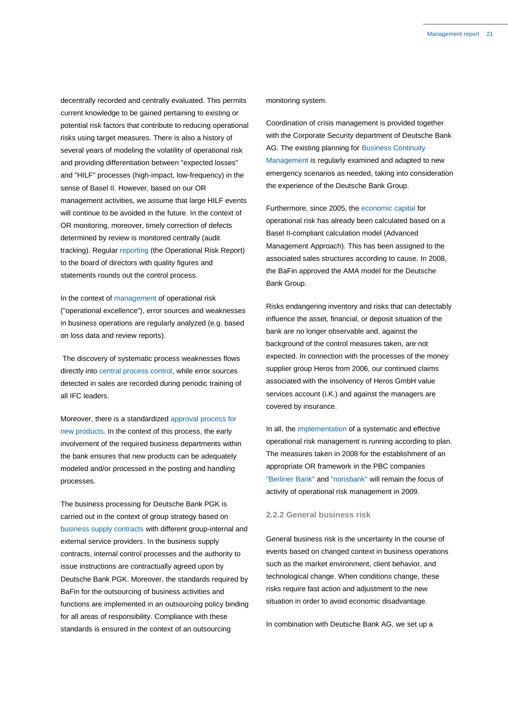decentrally recorded and centrally evaluated. This permits current knowledge to be gained pertaining to existing or potential risk factors that contribute to reducing operational risks using target measures. There is also a history of several years of modeling the volatility of operational risk and providing differentiation between "expected losses" and "HILF" processes (high-impact, low-frequency) in the sense of Basel II. However, based on our OR management activities, we assume that large HILF events will continue to be avoided in the future. In the context of OR monitoring, moreover, timely correction of defects determined by review is monitored centrally (audit tracking). Regular reporting (the Operational Risk Report) to the board of directors with quality figures and statements rounds out the control process.

In the context of management of operational risk ("operational excellence"), error sources and weaknesses in business operations are regularly analyzed (e.g. based on loss data and review reports).

The discovery of systematic process weaknesses flows directly into central process control, while error sources detected in sales are recorded during periodic training of all IFC leaders.

Moreover, there is a standardized approval process for new products. In the context of this process, the early involvement of the required business departments within the bank ensures that new products can be adequately modeled and/or processed in the posting and handling processes.

The business processing for Deutsche Bank PGK is carried out in the context of group strategy based on business supply contracts with different group-internal and external service providers. In the business supply contracts, internal control processes and the authority to issue instructions are contractually agreed upon by Deutsche Bank PGK. Moreover, the standards required by BaFin for the outsourcing of business activities and functions are implemented in an outsourcing policy binding for all areas of responsibility. Compliance with these standards is ensured in the context of an outsourcing

#### monitoring system.

Coordination of crisis management is provided together with the Corporate Security department of Deutsche Bank AG. The existing planning for Business Continuity Management is regularly examined and adapted to new emergency scenarios as needed, taking into consideration the experience of the Deutsche Bank Group.

Furthermore, since 2005, the economic capital for operational risk has already been calculated based on a Basel II-compliant calculation model (Advanced Management Approach). This has been assigned to the associated sales structures according to cause. In 2008, the BaFin approved the AMA model for the Deutsche Bank Group.

Risks endangering inventory and risks that can detectably influence the asset, financial, or deposit situation of the bank are no longer observable and, against the background of the control measures taken, are not expected. In connection with the processes of the money supplier group Heros from 2006, our continued claims associated with the insolvency of Heros GmbH value services account (i.K.) and against the managers are covered by insurance.

In all, the implementation of a systematic and effective operational risk management is running according to plan. The measures taken in 2008 for the establishment of an appropriate OR framework in the PBC companies "Berliner Bank" and "norisbank" will remain the focus of activity of operational risk management in 2009.

### **2.2.2 General business risk**

General business risk is the uncertainty in the course of events based on changed context in business operations such as the market environment, client behavior, and technological change. When conditions change, these risks require fast action and adjustment to the new situation in order to avoid economic disadvantage.

In combination with Deutsche Bank AG, we set up a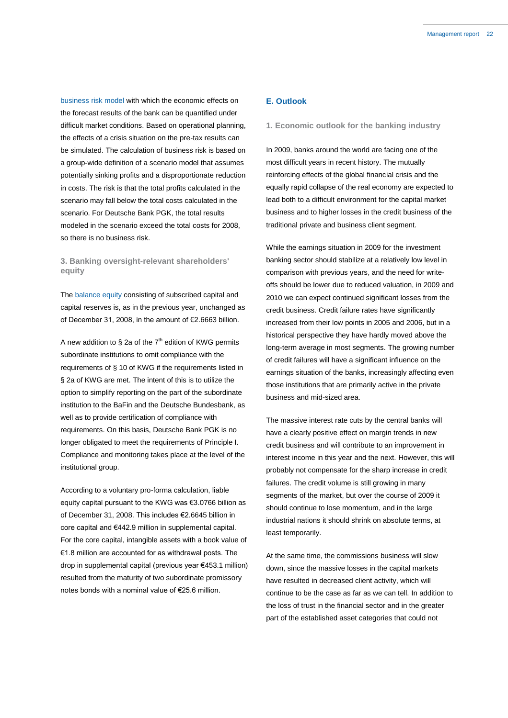business risk model with which the economic effects on the forecast results of the bank can be quantified under difficult market conditions. Based on operational planning, the effects of a crisis situation on the pre-tax results can be simulated. The calculation of business risk is based on a group-wide definition of a scenario model that assumes potentially sinking profits and a disproportionate reduction in costs. The risk is that the total profits calculated in the scenario may fall below the total costs calculated in the scenario. For Deutsche Bank PGK, the total results modeled in the scenario exceed the total costs for 2008, so there is no business risk.

### **3. Banking oversight-relevant shareholders' equity**

The balance equity consisting of subscribed capital and capital reserves is, as in the previous year, unchanged as of December 31, 2008, in the amount of €2.6663 billion.

A new addition to  $\S$  2a of the  $7<sup>th</sup>$  edition of KWG permits subordinate institutions to omit compliance with the requirements of § 10 of KWG if the requirements listed in § 2a of KWG are met. The intent of this is to utilize the option to simplify reporting on the part of the subordinate institution to the BaFin and the Deutsche Bundesbank, as well as to provide certification of compliance with requirements. On this basis, Deutsche Bank PGK is no longer obligated to meet the requirements of Principle I. Compliance and monitoring takes place at the level of the institutional group.

According to a voluntary pro-forma calculation, liable equity capital pursuant to the KWG was €3.0766 billion as of December 31, 2008. This includes €2.6645 billion in core capital and €442.9 million in supplemental capital. For the core capital, intangible assets with a book value of €1.8 million are accounted for as withdrawal posts. The drop in supplemental capital (previous year €453.1 million) resulted from the maturity of two subordinate promissory notes bonds with a nominal value of €25.6 million.

### **E. Outlook**

### **1. Economic outlook for the banking industry**

In 2009, banks around the world are facing one of the most difficult years in recent history. The mutually reinforcing effects of the global financial crisis and the equally rapid collapse of the real economy are expected to lead both to a difficult environment for the capital market business and to higher losses in the credit business of the traditional private and business client segment.

While the earnings situation in 2009 for the investment banking sector should stabilize at a relatively low level in comparison with previous years, and the need for writeoffs should be lower due to reduced valuation, in 2009 and 2010 we can expect continued significant losses from the credit business. Credit failure rates have significantly increased from their low points in 2005 and 2006, but in a historical perspective they have hardly moved above the long-term average in most segments. The growing number of credit failures will have a significant influence on the earnings situation of the banks, increasingly affecting even those institutions that are primarily active in the private business and mid-sized area.

The massive interest rate cuts by the central banks will have a clearly positive effect on margin trends in new credit business and will contribute to an improvement in interest income in this year and the next. However, this will probably not compensate for the sharp increase in credit failures. The credit volume is still growing in many segments of the market, but over the course of 2009 it should continue to lose momentum, and in the large industrial nations it should shrink on absolute terms, at least temporarily.

At the same time, the commissions business will slow down, since the massive losses in the capital markets have resulted in decreased client activity, which will continue to be the case as far as we can tell. In addition to the loss of trust in the financial sector and in the greater part of the established asset categories that could not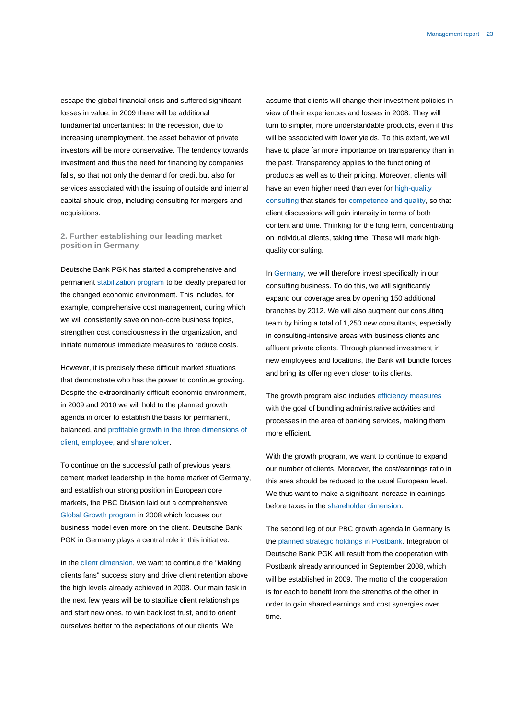escape the global financial crisis and suffered significant losses in value, in 2009 there will be additional fundamental uncertainties: In the recession, due to increasing unemployment, the asset behavior of private investors will be more conservative. The tendency towards investment and thus the need for financing by companies falls, so that not only the demand for credit but also for services associated with the issuing of outside and internal capital should drop, including consulting for mergers and acquisitions.

### **2. Further establishing our leading market position in Germany**

Deutsche Bank PGK has started a comprehensive and permanent stabilization program to be ideally prepared for the changed economic environment. This includes, for example, comprehensive cost management, during which we will consistently save on non-core business topics, strengthen cost consciousness in the organization, and initiate numerous immediate measures to reduce costs.

However, it is precisely these difficult market situations that demonstrate who has the power to continue growing. Despite the extraordinarily difficult economic environment, in 2009 and 2010 we will hold to the planned growth agenda in order to establish the basis for permanent, balanced, and profitable growth in the three dimensions of client, employee, and shareholder.

To continue on the successful path of previous years, cement market leadership in the home market of Germany, and establish our strong position in European core markets, the PBC Division laid out a comprehensive Global Growth program in 2008 which focuses our business model even more on the client. Deutsche Bank PGK in Germany plays a central role in this initiative.

In the client dimension, we want to continue the "Making clients fans" success story and drive client retention above the high levels already achieved in 2008. Our main task in the next few years will be to stabilize client relationships and start new ones, to win back lost trust, and to orient ourselves better to the expectations of our clients. We

assume that clients will change their investment policies in view of their experiences and losses in 2008: They will turn to simpler, more understandable products, even if this will be associated with lower yields. To this extent, we will have to place far more importance on transparency than in the past. Transparency applies to the functioning of products as well as to their pricing. Moreover, clients will have an even higher need than ever for high-quality consulting that stands for competence and quality, so that client discussions will gain intensity in terms of both content and time. Thinking for the long term, concentrating on individual clients, taking time: These will mark highquality consulting.

In Germany, we will therefore invest specifically in our consulting business. To do this, we will significantly expand our coverage area by opening 150 additional branches by 2012. We will also augment our consulting team by hiring a total of 1,250 new consultants, especially in consulting-intensive areas with business clients and affluent private clients. Through planned investment in new employees and locations, the Bank will bundle forces and bring its offering even closer to its clients.

The growth program also includes efficiency measures with the goal of bundling administrative activities and processes in the area of banking services, making them more efficient.

With the growth program, we want to continue to expand our number of clients. Moreover, the cost/earnings ratio in this area should be reduced to the usual European level. We thus want to make a significant increase in earnings before taxes in the shareholder dimension.

The second leg of our PBC growth agenda in Germany is the planned strategic holdings in Postbank. Integration of Deutsche Bank PGK will result from the cooperation with Postbank already announced in September 2008, which will be established in 2009. The motto of the cooperation is for each to benefit from the strengths of the other in order to gain shared earnings and cost synergies over time.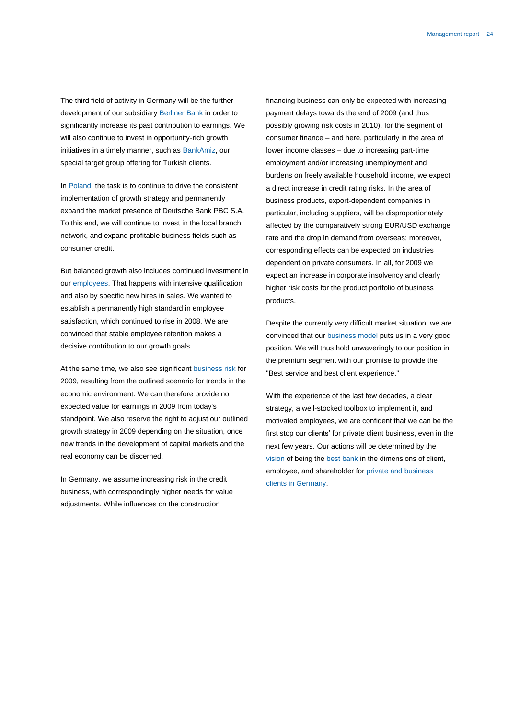The third field of activity in Germany will be the further development of our subsidiary Berliner Bank in order to significantly increase its past contribution to earnings. We will also continue to invest in opportunity-rich growth initiatives in a timely manner, such as BankAmiz, our special target group offering for Turkish clients.

In Poland, the task is to continue to drive the consistent implementation of growth strategy and permanently expand the market presence of Deutsche Bank PBC S.A. To this end, we will continue to invest in the local branch network, and expand profitable business fields such as consumer credit.

But balanced growth also includes continued investment in our employees. That happens with intensive qualification and also by specific new hires in sales. We wanted to establish a permanently high standard in employee satisfaction, which continued to rise in 2008. We are convinced that stable employee retention makes a decisive contribution to our growth goals.

At the same time, we also see significant business risk for 2009, resulting from the outlined scenario for trends in the economic environment. We can therefore provide no expected value for earnings in 2009 from today's standpoint. We also reserve the right to adjust our outlined growth strategy in 2009 depending on the situation, once new trends in the development of capital markets and the real economy can be discerned.

In Germany, we assume increasing risk in the credit business, with correspondingly higher needs for value adjustments. While influences on the construction

financing business can only be expected with increasing payment delays towards the end of 2009 (and thus possibly growing risk costs in 2010), for the segment of consumer finance – and here, particularly in the area of lower income classes – due to increasing part-time employment and/or increasing unemployment and burdens on freely available household income, we expect a direct increase in credit rating risks. In the area of business products, export-dependent companies in particular, including suppliers, will be disproportionately affected by the comparatively strong EUR/USD exchange rate and the drop in demand from overseas; moreover, corresponding effects can be expected on industries dependent on private consumers. In all, for 2009 we expect an increase in corporate insolvency and clearly higher risk costs for the product portfolio of business products.

Despite the currently very difficult market situation, we are convinced that our business model puts us in a very good position. We will thus hold unwaveringly to our position in the premium segment with our promise to provide the "Best service and best client experience."

With the experience of the last few decades, a clear strategy, a well-stocked toolbox to implement it, and motivated employees, we are confident that we can be the first stop our clients' for private client business, even in the next few years. Our actions will be determined by the vision of being the best bank in the dimensions of client, employee, and shareholder for private and business clients in Germany.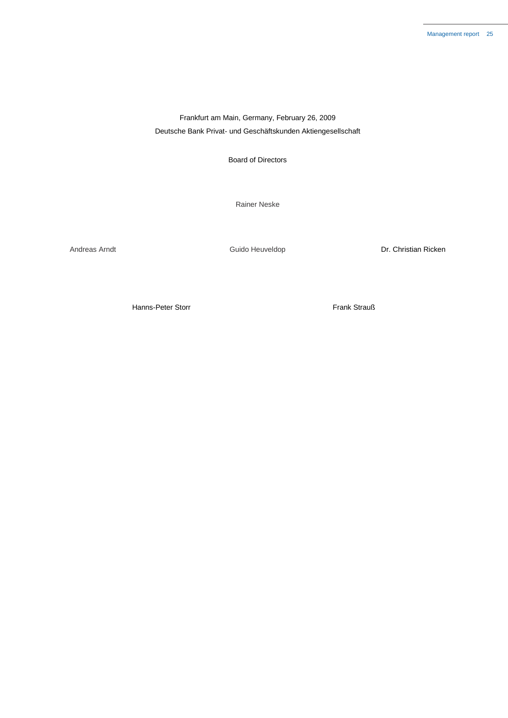Frankfurt am Main, Germany, February 26, 2009 Deutsche Bank Privat- und Geschäftskunden Aktiengesellschaft

Board of Directors

Rainer Neske

Andreas Arndt **Andreas Arndt** Cuido Heuveldop **Canada Expanditure Constant Constant Constant Constant Constant Constant Constant Constant Constant Constant Constant Constant Constant Constant Constant Constant Constant Con** 

Hanns-Peter Storr Frank Strauß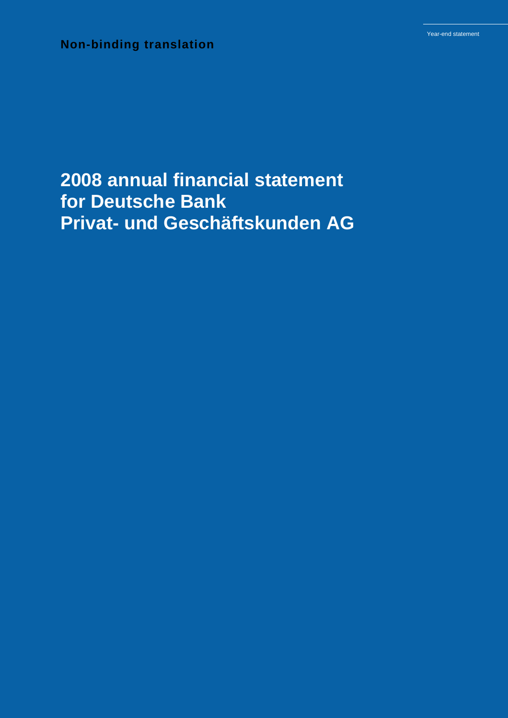**Non-binding translation**

# **2008 annual financial statement for Deutsche Bank Privat- und Geschäftskunden AG**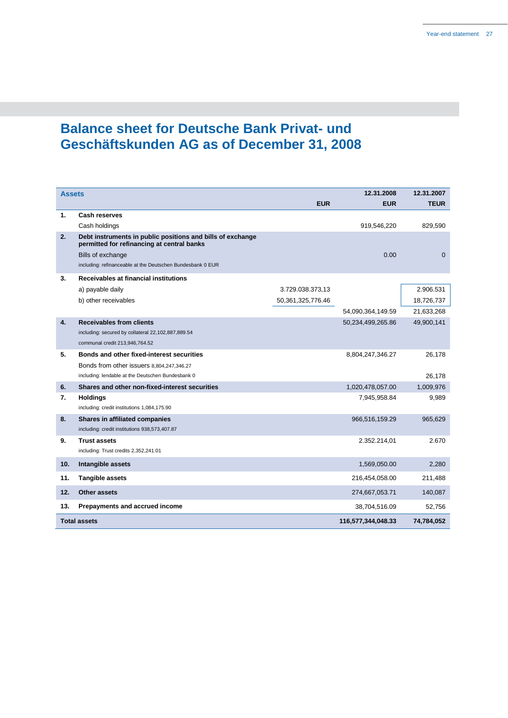# **Balance sheet for Deutsche Bank Privat- und Geschäftskunden AG as of December 31, 2008**

| <b>Assets</b> |                                                                                                          |                       | 12.31.2008         | 12.31.2007   |
|---------------|----------------------------------------------------------------------------------------------------------|-----------------------|--------------------|--------------|
|               |                                                                                                          | <b>EUR</b>            | <b>EUR</b>         | <b>TEUR</b>  |
| 1.            | Cash reserves                                                                                            |                       |                    |              |
|               | Cash holdings                                                                                            |                       | 919,546,220        | 829,590      |
| 2.            | Debt instruments in public positions and bills of exchange<br>permitted for refinancing at central banks |                       |                    |              |
|               | Bills of exchange                                                                                        |                       | 0.00               | $\mathbf{0}$ |
|               | including: refinanceable at the Deutschen Bundesbank 0 EUR                                               |                       |                    |              |
| 3.            | Receivables at financial institutions                                                                    |                       |                    |              |
|               | a) payable daily                                                                                         | 3.729.038.373,13      |                    | 2.906.531    |
|               | b) other receivables                                                                                     | 50, 361, 325, 776. 46 |                    | 18,726,737   |
|               |                                                                                                          |                       | 54,090,364,149.59  | 21,633,268   |
| 4.            | <b>Receivables from clients</b>                                                                          |                       | 50,234,499,265.86  | 49,900,141   |
|               | including: secured by collateral 22,102,887,889.54                                                       |                       |                    |              |
|               | communal credit 213,946,764.52                                                                           |                       |                    |              |
| 5.            | <b>Bonds and other fixed-interest securities</b>                                                         |                       | 8,804,247,346.27   | 26,178       |
|               | Bonds from other issuers 8,804,247,346.27                                                                |                       |                    |              |
|               | including: lendable at the Deutschen Bundesbank 0                                                        |                       |                    | 26,178       |
| 6.            | Shares and other non-fixed-interest securities                                                           |                       | 1,020,478,057.00   | 1,009,976    |
| 7.            | <b>Holdings</b><br>including: credit institutions 1,084,175.90                                           |                       | 7,945,958.84       | 9,989        |
|               |                                                                                                          |                       |                    |              |
| 8.            | Shares in affiliated companies<br>including: credit institutions 938,573,407.87                          |                       | 966,516,159.29     | 965,629      |
| 9.            | <b>Trust assets</b>                                                                                      |                       | 2.352.214,01       | 2.670        |
|               | including: Trust credits 2,352,241.01                                                                    |                       |                    |              |
| 10.           | Intangible assets                                                                                        |                       | 1,569,050.00       | 2,280        |
| 11.           | <b>Tangible assets</b>                                                                                   |                       | 216,454,058.00     | 211,488      |
| 12.           | <b>Other assets</b>                                                                                      |                       | 274,667,053.71     | 140,087      |
| 13.           | Prepayments and accrued income                                                                           |                       | 38,704,516.09      | 52.756       |
|               | <b>Total assets</b>                                                                                      |                       | 116,577,344,048.33 | 74,784,052   |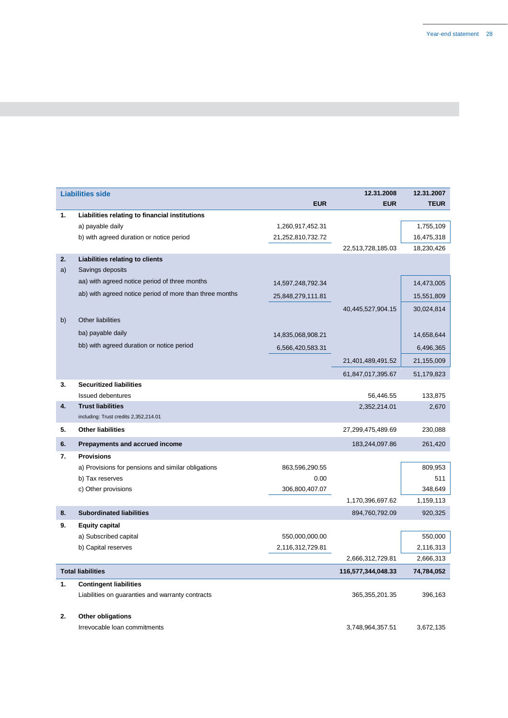|    | <b>Liabilities side</b>                                 |                   | 12.31.2008         | 12.31.2007  |
|----|---------------------------------------------------------|-------------------|--------------------|-------------|
|    |                                                         | <b>EUR</b>        | <b>EUR</b>         | <b>TEUR</b> |
| 1. | Liabilities relating to financial institutions          |                   |                    |             |
|    | a) payable daily                                        | 1,260,917,452.31  |                    | 1,755,109   |
|    | b) with agreed duration or notice period                | 21,252,810,732.72 |                    | 16,475,318  |
|    |                                                         |                   | 22,513,728,185.03  | 18,230,426  |
| 2. | Liabilities relating to clients                         |                   |                    |             |
| a) | Savings deposits                                        |                   |                    |             |
|    | aa) with agreed notice period of three months           | 14,597,248,792.34 |                    | 14,473,005  |
|    | ab) with agreed notice period of more than three months | 25,848,279,111.81 |                    | 15,551,809  |
|    |                                                         |                   | 40,445,527,904.15  | 30,024,814  |
| b) | <b>Other liabilities</b>                                |                   |                    |             |
|    | ba) payable daily                                       |                   |                    |             |
|    | bb) with agreed duration or notice period               | 14,835,068,908.21 |                    | 14,658,644  |
|    |                                                         | 6,566,420,583.31  |                    | 6,496,365   |
|    |                                                         |                   | 21,401,489,491.52  | 21,155,009  |
|    |                                                         |                   | 61,847,017,395.67  | 51,179,823  |
| 3. | <b>Securitized liabilities</b>                          |                   |                    |             |
|    | Issued debentures                                       |                   | 56,446.55          | 133,875     |
| 4. | <b>Trust liabilities</b>                                |                   | 2,352,214.01       | 2,670       |
|    | including: Trust credits 2,352,214.01                   |                   |                    |             |
| 5. | <b>Other liabilities</b>                                |                   | 27,299,475,489.69  | 230,088     |
| 6. | Prepayments and accrued income                          |                   | 183,244,097.86     | 261,420     |
| 7. | <b>Provisions</b>                                       |                   |                    |             |
|    | a) Provisions for pensions and similar obligations      | 863,596,290.55    |                    | 809,953     |
|    | b) Tax reserves                                         | 0.00              |                    | 511         |
|    | c) Other provisions                                     | 306,800,407.07    |                    | 348,649     |
|    |                                                         |                   | 1,170,396,697.62   | 1,159,113   |
| 8. | <b>Subordinated liabilities</b>                         |                   | 894,760,792.09     | 920,325     |
| 9. | <b>Equity capital</b>                                   |                   |                    |             |
|    | a) Subscribed capital                                   | 550,000,000.00    |                    | 550,000     |
|    | b) Capital reserves                                     | 2,116,312,729.81  |                    | 2,116,313   |
|    |                                                         |                   | 2,666,312,729.81   | 2,666,313   |
|    | <b>Total liabilities</b>                                |                   | 116,577,344,048.33 | 74,784,052  |
| 1. | <b>Contingent liabilities</b>                           |                   |                    |             |
|    | Liabilities on guaranties and warranty contracts        |                   | 365,355,201.35     | 396,163     |
|    |                                                         |                   |                    |             |
| 2. | Other obligations                                       |                   |                    |             |

Irrevocable loan commitments 3,748,964,357.51 3,672,135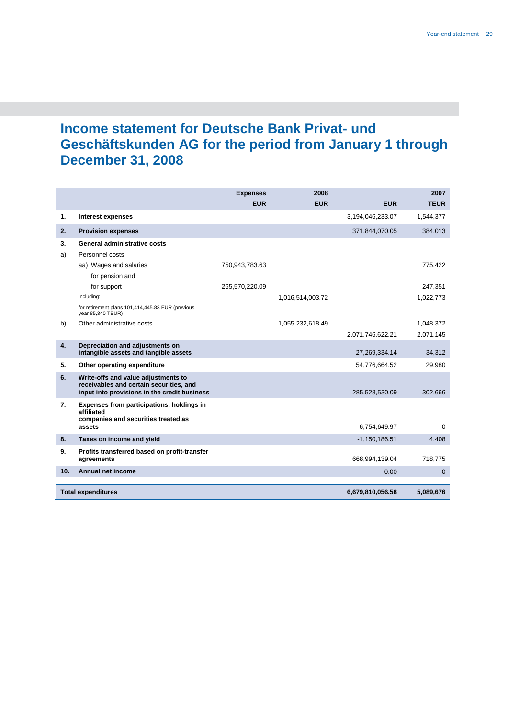# **Income statement for Deutsche Bank Privat- und Geschäftskunden AG for the period from January 1 through December 31, 2008**

|     |                                                                                                                                | <b>Expenses</b> | 2008             |                  | 2007         |
|-----|--------------------------------------------------------------------------------------------------------------------------------|-----------------|------------------|------------------|--------------|
|     |                                                                                                                                | <b>EUR</b>      | <b>EUR</b>       | <b>EUR</b>       | <b>TEUR</b>  |
| 1.  | Interest expenses                                                                                                              |                 |                  | 3,194,046,233.07 | 1,544,377    |
| 2.  | <b>Provision expenses</b>                                                                                                      |                 |                  | 371,844,070.05   | 384,013      |
| 3.  | General administrative costs                                                                                                   |                 |                  |                  |              |
| a)  | Personnel costs                                                                                                                |                 |                  |                  |              |
|     | aa) Wages and salaries                                                                                                         | 750,943,783.63  |                  |                  | 775,422      |
|     | for pension and                                                                                                                |                 |                  |                  |              |
|     | for support                                                                                                                    | 265,570,220.09  |                  |                  | 247,351      |
|     | including:                                                                                                                     |                 | 1,016,514,003.72 |                  | 1,022,773    |
|     | for retirement plans 101,414,445.83 EUR (previous<br>year 85,340 TEUR)                                                         |                 |                  |                  |              |
| b)  | Other administrative costs                                                                                                     |                 | 1,055,232,618.49 |                  | 1,048,372    |
|     |                                                                                                                                |                 |                  | 2,071,746,622.21 | 2,071,145    |
| 4.  | Depreciation and adjustments on<br>intangible assets and tangible assets                                                       |                 |                  | 27,269,334.14    | 34,312       |
| 5.  | Other operating expenditure                                                                                                    |                 |                  | 54,776,664.52    | 29,980       |
| 6.  | Write-offs and value adjustments to<br>receivables and certain securities, and<br>input into provisions in the credit business |                 |                  | 285,528,530.09   | 302,666      |
| 7.  | Expenses from participations, holdings in<br>affiliated<br>companies and securities treated as<br>assets                       |                 |                  |                  |              |
|     |                                                                                                                                |                 |                  | 6,754,649.97     | $\mathbf 0$  |
| 8.  | Taxes on income and yield                                                                                                      |                 |                  | $-1,150,186.51$  | 4,408        |
| 9.  | Profits transferred based on profit-transfer<br>agreements                                                                     |                 |                  | 668,994,139.04   | 718,775      |
| 10. | Annual net income                                                                                                              |                 |                  | 0.00             | $\mathbf{0}$ |
|     | <b>Total expenditures</b>                                                                                                      |                 |                  | 6,679,810,056.58 | 5.089.676    |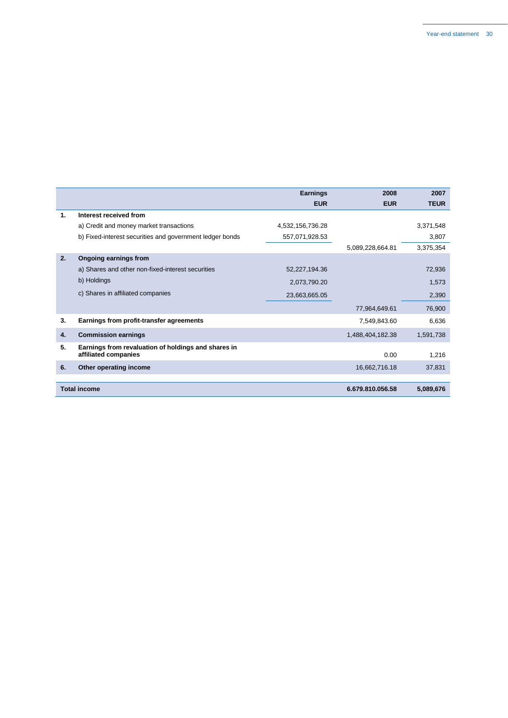|    |                                                                             | <b>Earnings</b>  | 2008             | 2007        |
|----|-----------------------------------------------------------------------------|------------------|------------------|-------------|
|    |                                                                             | <b>EUR</b>       | <b>EUR</b>       | <b>TEUR</b> |
| 1. | Interest received from                                                      |                  |                  |             |
|    | a) Credit and money market transactions                                     | 4,532,156,736.28 |                  | 3,371,548   |
|    | b) Fixed-interest securities and government ledger bonds                    | 557,071,928.53   |                  | 3,807       |
|    |                                                                             |                  | 5,089,228,664.81 | 3,375,354   |
| 2. | Ongoing earnings from                                                       |                  |                  |             |
|    | a) Shares and other non-fixed-interest securities                           | 52,227,194.36    |                  | 72,936      |
|    | b) Holdings                                                                 | 2,073,790.20     |                  | 1,573       |
|    | c) Shares in affiliated companies                                           | 23,663,665.05    |                  | 2,390       |
|    |                                                                             |                  | 77,964,649.61    | 76,900      |
| 3. | Earnings from profit-transfer agreements                                    |                  | 7,549,843.60     | 6,636       |
| 4. | <b>Commission earnings</b>                                                  |                  | 1,488,404,182.38 | 1,591,738   |
| 5. | Earnings from revaluation of holdings and shares in<br>affiliated companies |                  | 0.00             | 1,216       |
| 6. | Other operating income                                                      |                  | 16,662,716.18    | 37,831      |
|    |                                                                             |                  |                  |             |
|    | <b>Total income</b>                                                         |                  | 6.679.810.056.58 | 5,089,676   |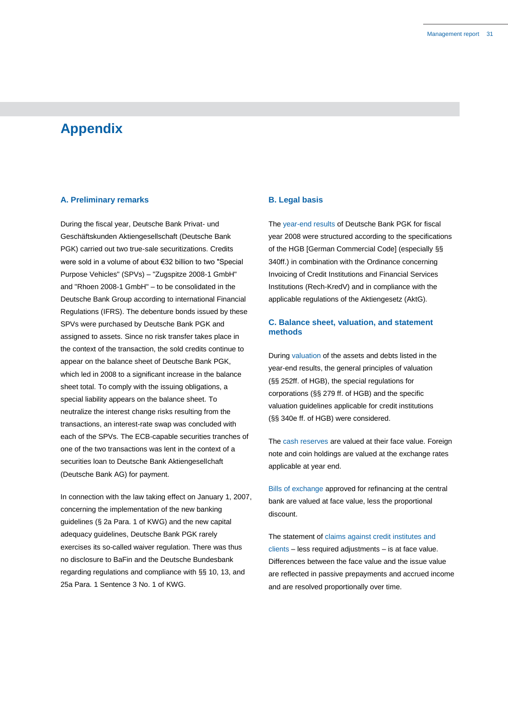## **Appendix**

### **A. Preliminary remarks**

During the fiscal year, Deutsche Bank Privat- und Geschäftskunden Aktiengesellschaft (Deutsche Bank PGK) carried out two true-sale securitizations. Credits were sold in a volume of about €32 billion to two "Special Purpose Vehicles" (SPVs) – "Zugspitze 2008-1 GmbH" and "Rhoen 2008-1 GmbH" – to be consolidated in the Deutsche Bank Group according to international Financial Regulations (IFRS). The debenture bonds issued by these SPVs were purchased by Deutsche Bank PGK and assigned to assets. Since no risk transfer takes place in the context of the transaction, the sold credits continue to appear on the balance sheet of Deutsche Bank PGK, which led in 2008 to a significant increase in the balance sheet total. To comply with the issuing obligations, a special liability appears on the balance sheet. To neutralize the interest change risks resulting from the transactions, an interest-rate swap was concluded with each of the SPVs. The ECB-capable securities tranches of one of the two transactions was lent in the context of a securities loan to Deutsche Bank Aktiengesellchaft (Deutsche Bank AG) for payment.

In connection with the law taking effect on January 1, 2007, concerning the implementation of the new banking guidelines (§ 2a Para. 1 of KWG) and the new capital adequacy guidelines, Deutsche Bank PGK rarely exercises its so-called waiver regulation. There was thus no disclosure to BaFin and the Deutsche Bundesbank regarding regulations and compliance with §§ 10, 13, and 25a Para. 1 Sentence 3 No. 1 of KWG.

### **B. Legal basis**

The year-end results of Deutsche Bank PGK for fiscal year 2008 were structured according to the specifications of the HGB [German Commercial Code] (especially §§ 340ff.) in combination with the Ordinance concerning Invoicing of Credit Institutions and Financial Services Institutions (Rech-KredV) and in compliance with the applicable regulations of the Aktiengesetz (AktG).

### **C. Balance sheet, valuation, and statement methods**

During valuation of the assets and debts listed in the year-end results, the general principles of valuation (§§ 252ff. of HGB), the special regulations for corporations (§§ 279 ff. of HGB) and the specific valuation guidelines applicable for credit institutions (§§ 340e ff. of HGB) were considered.

The cash reserves are valued at their face value. Foreign note and coin holdings are valued at the exchange rates applicable at year end.

Bills of exchange approved for refinancing at the central bank are valued at face value, less the proportional discount.

The statement of claims against credit institutes and clients – less required adjustments – is at face value. Differences between the face value and the issue value are reflected in passive prepayments and accrued income and are resolved proportionally over time.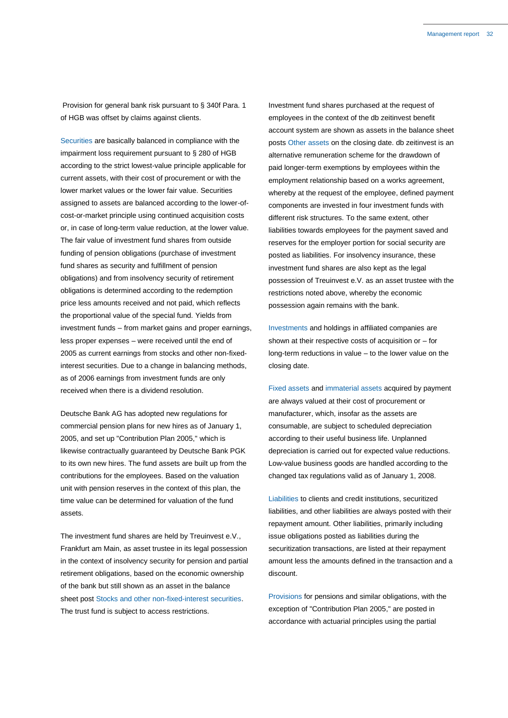Provision for general bank risk pursuant to § 340f Para. 1 of HGB was offset by claims against clients.

Securities are basically balanced in compliance with the impairment loss requirement pursuant to § 280 of HGB according to the strict lowest-value principle applicable for current assets, with their cost of procurement or with the lower market values or the lower fair value. Securities assigned to assets are balanced according to the lower-ofcost-or-market principle using continued acquisition costs or, in case of long-term value reduction, at the lower value. The fair value of investment fund shares from outside funding of pension obligations (purchase of investment fund shares as security and fulfillment of pension obligations) and from insolvency security of retirement obligations is determined according to the redemption price less amounts received and not paid, which reflects the proportional value of the special fund. Yields from investment funds – from market gains and proper earnings, less proper expenses – were received until the end of 2005 as current earnings from stocks and other non-fixedinterest securities. Due to a change in balancing methods, as of 2006 earnings from investment funds are only received when there is a dividend resolution.

Deutsche Bank AG has adopted new regulations for commercial pension plans for new hires as of January 1, 2005, and set up "Contribution Plan 2005," which is likewise contractually guaranteed by Deutsche Bank PGK to its own new hires. The fund assets are built up from the contributions for the employees. Based on the valuation unit with pension reserves in the context of this plan, the time value can be determined for valuation of the fund assets.

The investment fund shares are held by Treuinvest e.V., Frankfurt am Main, as asset trustee in its legal possession in the context of insolvency security for pension and partial retirement obligations, based on the economic ownership of the bank but still shown as an asset in the balance sheet post Stocks and other non-fixed-interest securities. The trust fund is subject to access restrictions.

Investment fund shares purchased at the request of employees in the context of the db zeitinvest benefit account system are shown as assets in the balance sheet posts Other assets on the closing date. db zeitinvest is an alternative remuneration scheme for the drawdown of paid longer-term exemptions by employees within the employment relationship based on a works agreement, whereby at the request of the employee, defined payment components are invested in four investment funds with different risk structures. To the same extent, other liabilities towards employees for the payment saved and reserves for the employer portion for social security are posted as liabilities. For insolvency insurance, these investment fund shares are also kept as the legal possession of Treuinvest e.V. as an asset trustee with the restrictions noted above, whereby the economic possession again remains with the bank.

Investments and holdings in affiliated companies are shown at their respective costs of acquisition or – for long-term reductions in value – to the lower value on the closing date.

Fixed assets and immaterial assets acquired by payment are always valued at their cost of procurement or manufacturer, which, insofar as the assets are consumable, are subject to scheduled depreciation according to their useful business life. Unplanned depreciation is carried out for expected value reductions. Low-value business goods are handled according to the changed tax regulations valid as of January 1, 2008.

Liabilities to clients and credit institutions, securitized liabilities, and other liabilities are always posted with their repayment amount. Other liabilities, primarily including issue obligations posted as liabilities during the securitization transactions, are listed at their repayment amount less the amounts defined in the transaction and a discount.

Provisions for pensions and similar obligations, with the exception of "Contribution Plan 2005," are posted in accordance with actuarial principles using the partial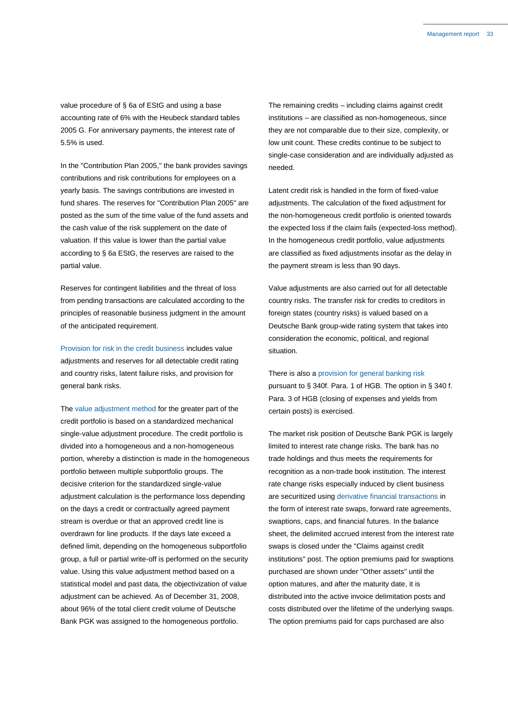value procedure of § 6a of EStG and using a base accounting rate of 6% with the Heubeck standard tables 2005 G. For anniversary payments, the interest rate of 5.5% is used.

In the "Contribution Plan 2005," the bank provides savings contributions and risk contributions for employees on a yearly basis. The savings contributions are invested in fund shares. The reserves for "Contribution Plan 2005" are posted as the sum of the time value of the fund assets and the cash value of the risk supplement on the date of valuation. If this value is lower than the partial value according to § 6a EStG, the reserves are raised to the partial value.

Reserves for contingent liabilities and the threat of loss from pending transactions are calculated according to the principles of reasonable business judgment in the amount of the anticipated requirement.

Provision for risk in the credit business includes value adjustments and reserves for all detectable credit rating and country risks, latent failure risks, and provision for general bank risks.

The value adjustment method for the greater part of the credit portfolio is based on a standardized mechanical single-value adjustment procedure. The credit portfolio is divided into a homogeneous and a non-homogeneous portion, whereby a distinction is made in the homogeneous portfolio between multiple subportfolio groups. The decisive criterion for the standardized single-value adjustment calculation is the performance loss depending on the days a credit or contractually agreed payment stream is overdue or that an approved credit line is overdrawn for line products. If the days late exceed a defined limit, depending on the homogeneous subportfolio group, a full or partial write-off is performed on the security value. Using this value adjustment method based on a statistical model and past data, the objectivization of value adjustment can be achieved. As of December 31, 2008, about 96% of the total client credit volume of Deutsche Bank PGK was assigned to the homogeneous portfolio.

The remaining credits – including claims against credit institutions – are classified as non-homogeneous, since they are not comparable due to their size, complexity, or low unit count. These credits continue to be subject to single-case consideration and are individually adjusted as needed.

Latent credit risk is handled in the form of fixed-value adjustments. The calculation of the fixed adjustment for the non-homogeneous credit portfolio is oriented towards the expected loss if the claim fails (expected-loss method). In the homogeneous credit portfolio, value adjustments are classified as fixed adjustments insofar as the delay in the payment stream is less than 90 days.

Value adjustments are also carried out for all detectable country risks. The transfer risk for credits to creditors in foreign states (country risks) is valued based on a Deutsche Bank group-wide rating system that takes into consideration the economic, political, and regional situation.

There is also a provision for general banking risk pursuant to § 340f. Para. 1 of HGB. The option in § 340 f. Para. 3 of HGB (closing of expenses and yields from certain posts) is exercised.

The market risk position of Deutsche Bank PGK is largely limited to interest rate change risks. The bank has no trade holdings and thus meets the requirements for recognition as a non-trade book institution. The interest rate change risks especially induced by client business are securitized using derivative financial transactions in the form of interest rate swaps, forward rate agreements, swaptions, caps, and financial futures. In the balance sheet, the delimited accrued interest from the interest rate swaps is closed under the "Claims against credit institutions" post. The option premiums paid for swaptions purchased are shown under "Other assets" until the option matures, and after the maturity date, it is distributed into the active invoice delimitation posts and costs distributed over the lifetime of the underlying swaps. The option premiums paid for caps purchased are also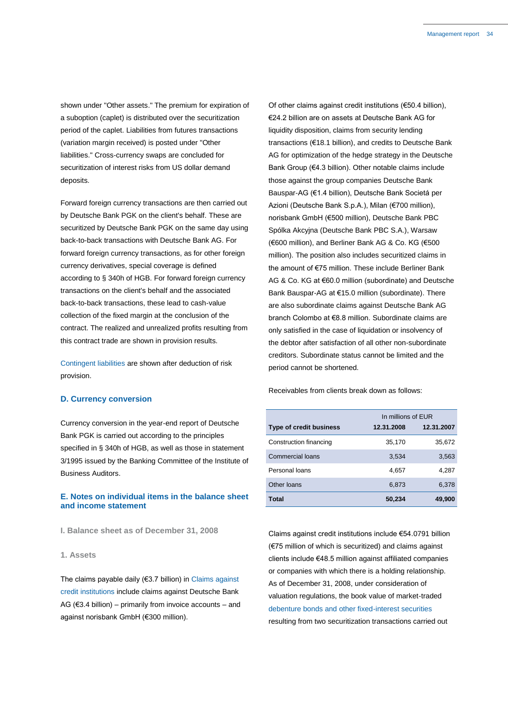shown under "Other assets." The premium for expiration of a suboption (caplet) is distributed over the securitization period of the caplet. Liabilities from futures transactions (variation margin received) is posted under "Other liabilities." Cross-currency swaps are concluded for securitization of interest risks from US dollar demand deposits.

Forward foreign currency transactions are then carried out by Deutsche Bank PGK on the client's behalf. These are securitized by Deutsche Bank PGK on the same day using back-to-back transactions with Deutsche Bank AG. For forward foreign currency transactions, as for other foreign currency derivatives, special coverage is defined according to § 340h of HGB. For forward foreign currency transactions on the client's behalf and the associated back-to-back transactions, these lead to cash-value collection of the fixed margin at the conclusion of the contract. The realized and unrealized profits resulting from this contract trade are shown in provision results.

Contingent liabilities are shown after deduction of risk provision.

### **D. Currency conversion**

Currency conversion in the year-end report of Deutsche Bank PGK is carried out according to the principles specified in § 340h of HGB, as well as those in statement 3/1995 issued by the Banking Committee of the Institute of Business Auditors.

### **E. Notes on individual items in the balance sheet and income statement**

**I. Balance sheet as of December 31, 2008**

### **1. Assets**

The claims payable daily (€3.7 billion) in Claims against credit institutions include claims against Deutsche Bank AG ( $€3.4$  billion) – primarily from invoice accounts – and against norisbank GmbH (€300 million).

Of other claims against credit institutions (€50.4 billion), €24.2 billion are on assets at Deutsche Bank AG for liquidity disposition, claims from security lending transactions (€18.1 billion), and credits to Deutsche Bank AG for optimization of the hedge strategy in the Deutsche Bank Group (€4.3 billion). Other notable claims include those against the group companies Deutsche Bank Bauspar-AG (€1.4 billion), Deutsche Bank Societá per Azioni (Deutsche Bank S.p.A.), Milan (€700 million), norisbank GmbH (€500 million), Deutsche Bank PBC Spólka Akcyjna (Deutsche Bank PBC S.A.), Warsaw (€600 million), and Berliner Bank AG & Co. KG (€500 million). The position also includes securitized claims in the amount of €75 million. These include Berliner Bank AG & Co. KG at €60.0 million (subordinate) and Deutsche Bank Bauspar-AG at €15.0 million (subordinate). There are also subordinate claims against Deutsche Bank AG branch Colombo at €8.8 million. Subordinate claims are only satisfied in the case of liquidation or insolvency of the debtor after satisfaction of all other non-subordinate creditors. Subordinate status cannot be limited and the period cannot be shortened.

Receivables from clients break down as follows:

|                                | In millions of EUR |            |  |
|--------------------------------|--------------------|------------|--|
| <b>Type of credit business</b> | 12.31.2008         | 12.31.2007 |  |
| Construction financing         | 35,170             | 35,672     |  |
| Commercial loans               | 3,534              | 3,563      |  |
| Personal loans                 | 4,657              | 4,287      |  |
| Other loans                    | 6,873              | 6,378      |  |
| Total                          | 50,234             | 49,900     |  |

Claims against credit institutions include €54.0791 billion (€75 million of which is securitized) and claims against clients include €48.5 million against affiliated companies or companies with which there is a holding relationship. As of December 31, 2008, under consideration of valuation regulations, the book value of market-traded debenture bonds and other fixed-interest securities resulting from two securitization transactions carried out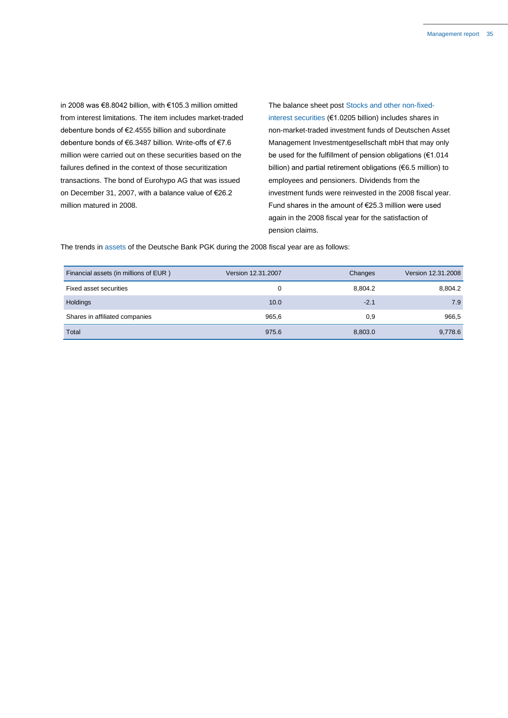in 2008 was €8.8042 billion, with €105.3 million omitted from interest limitations. The item includes market-traded debenture bonds of €2.4555 billion and subordinate debenture bonds of €6.3487 billion. Write-offs of €7.6 million were carried out on these securities based on the failures defined in the context of those securitization transactions. The bond of Eurohypo AG that was issued on December 31, 2007, with a balance value of €26.2 million matured in 2008.

The balance sheet post Stocks and other non-fixedinterest securities (€1.0205 billion) includes shares in non-market-traded investment funds of Deutschen Asset Management Investmentgesellschaft mbH that may only be used for the fulfillment of pension obligations (€1.014 billion) and partial retirement obligations (€6.5 million) to employees and pensioners. Dividends from the investment funds were reinvested in the 2008 fiscal year. Fund shares in the amount of €25.3 million were used again in the 2008 fiscal year for the satisfaction of pension claims.

The trends in assets of the Deutsche Bank PGK during the 2008 fiscal year are as follows:

| Financial assets (in millions of EUR) | Version 12.31.2007 | Changes | Version 12.31.2008 |
|---------------------------------------|--------------------|---------|--------------------|
| Fixed asset securities                | 0                  | 8.804.2 | 8,804.2            |
| Holdings                              | 10.0               | $-2.1$  | 7.9                |
| Shares in affiliated companies        | 965,6              | 0,9     | 966,5              |
| Total                                 | 975.6              | 8,803.0 | 9,778.6            |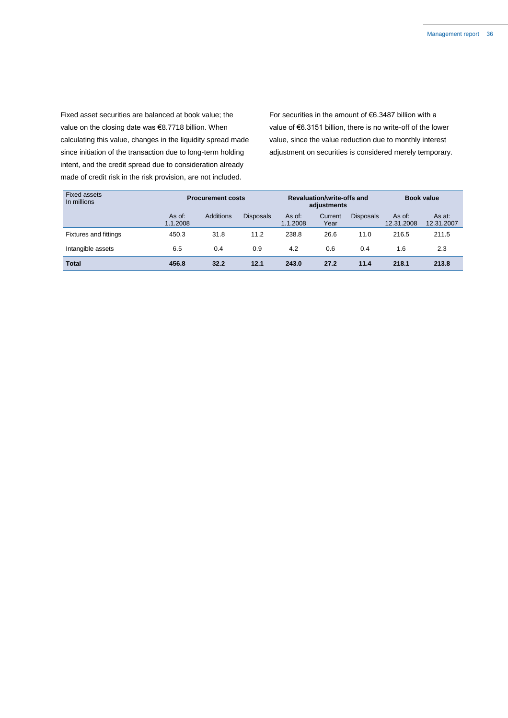Fixed asset securities are balanced at book value; the value on the closing date was €8.7718 billion. When calculating this value, changes in the liquidity spread made since initiation of the transaction due to long-term holding intent, and the credit spread due to consideration already made of credit risk in the risk provision, are not included.

For securities in the amount of €6.3487 billion with a value of €6.3151 billion, there is no write-off of the lower value, since the value reduction due to monthly interest adjustment on securities is considered merely temporary.

| <b>Fixed assets</b><br>In millions | <b>Procurement costs</b> |           | Revaluation/write-offs and<br>adjustments |                      |                 | <b>Book value</b> |                      |                      |
|------------------------------------|--------------------------|-----------|-------------------------------------------|----------------------|-----------------|-------------------|----------------------|----------------------|
|                                    | As of:<br>1.1.2008       | Additions | <b>Disposals</b>                          | $As$ of:<br>1.1.2008 | Current<br>Year | <b>Disposals</b>  | As of:<br>12.31.2008 | As at:<br>12.31.2007 |
| <b>Fixtures and fittings</b>       | 450.3                    | 31.8      | 11.2                                      | 238.8                | 26.6            | 11.0              | 216.5                | 211.5                |
| Intangible assets                  | 6.5                      | 0.4       | 0.9                                       | 4.2                  | 0.6             | 0.4               | 1.6                  | 2.3                  |
| <b>Total</b>                       | 456.8                    | 32.2      | 12.1                                      | 243.0                | 27.2            | 11.4              | 218.1                | 213.8                |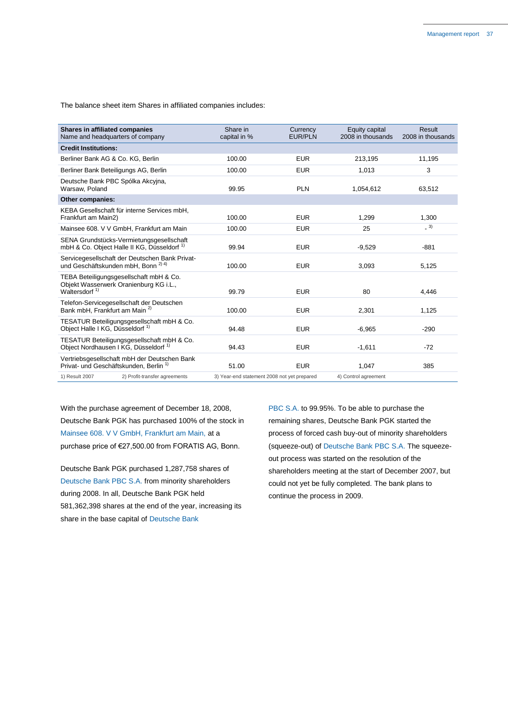The balance sheet item Shares in affiliated companies includes:

| <b>Shares in affiliated companies</b><br>Name and headquarters of company                             | Share in<br>capital in %                    | Currency<br><b>EUR/PLN</b> | Equity capital<br>2008 in thousands | Result<br>2008 in thousands |
|-------------------------------------------------------------------------------------------------------|---------------------------------------------|----------------------------|-------------------------------------|-----------------------------|
| <b>Credit Institutions:</b>                                                                           |                                             |                            |                                     |                             |
| Berliner Bank AG & Co. KG, Berlin                                                                     | 100.00                                      | <b>EUR</b>                 | 213,195                             | 11,195                      |
| Berliner Bank Beteiligungs AG, Berlin                                                                 | 100.00                                      | <b>EUR</b>                 | 1,013                               | 3                           |
| Deutsche Bank PBC Spólka Akcyjna,<br>Warsaw, Poland                                                   | 99.95                                       | <b>PLN</b>                 | 1,054,612                           | 63,512                      |
| <b>Other companies:</b>                                                                               |                                             |                            |                                     |                             |
| KEBA Gesellschaft für interne Services mbH,<br>Frankfurt am Main2)                                    | 100.00                                      | <b>EUR</b>                 | 1,299                               | 1,300                       |
| Mainsee 608. V V GmbH, Frankfurt am Main                                                              | 100.00                                      | <b>EUR</b>                 | 25                                  | $-3)$                       |
| SENA Grundstücks-Vermietungsgesellschaft<br>mbH & Co. Object Halle II KG, Düsseldorf <sup>1)</sup>    | 99.94                                       | <b>EUR</b>                 | $-9,529$                            | $-881$                      |
| Servicegesellschaft der Deutschen Bank Privat-<br>und Geschäftskunden mbH. Bonn <sup>2) 4)</sup>      | 100.00                                      | <b>EUR</b>                 | 3,093                               | 5,125                       |
| TEBA Beteiligungsgesellschaft mbH & Co.<br>Objekt Wasserwerk Oranienburg KG i.L.,<br>Waltersdorf $1)$ | 99.79                                       | <b>EUR</b>                 | 80                                  | 4,446                       |
| Telefon-Servicegesellschaft der Deutschen<br>Bank mbH. Frankfurt am Main <sup>2)</sup>                | 100.00                                      | <b>EUR</b>                 | 2,301                               | 1,125                       |
| TESATUR Beteiligungsgesellschaft mbH & Co.<br>Obiect Halle I KG. Düsseldorf <sup>1)</sup>             | 94.48                                       | <b>EUR</b>                 | $-6,965$                            | $-290$                      |
| TESATUR Beteiligungsgesellschaft mbH & Co.<br>Object Nordhausen I KG, Düsseldorf <sup>1)</sup>        | 94.43                                       | <b>EUR</b>                 | $-1,611$                            | $-72$                       |
| Vertriebsgesellschaft mbH der Deutschen Bank<br>Privat- und Geschäftskunden. Berlin <sup>1)</sup>     | 51.00                                       | <b>EUR</b>                 | 1,047                               | 385                         |
| 2) Profit-transfer agreements<br>1) Result 2007                                                       | 3) Year-end statement 2008 not yet prepared |                            | 4) Control agreement                |                             |

With the purchase agreement of December 18, 2008, Deutsche Bank PGK has purchased 100% of the stock in Mainsee 608. V V GmbH, Frankfurt am Main, at a purchase price of €27,500.00 from FORATIS AG, Bonn.

Deutsche Bank PGK purchased 1,287,758 shares of Deutsche Bank PBC S.A. from minority shareholders during 2008. In all, Deutsche Bank PGK held 581,362,398 shares at the end of the year, increasing its share in the base capital of Deutsche Bank

PBC S.A. to 99.95%. To be able to purchase the remaining shares, Deutsche Bank PGK started the process of forced cash buy-out of minority shareholders (squeeze-out) of Deutsche Bank PBC S.A. The squeezeout process was started on the resolution of the shareholders meeting at the start of December 2007, but could not yet be fully completed. The bank plans to continue the process in 2009.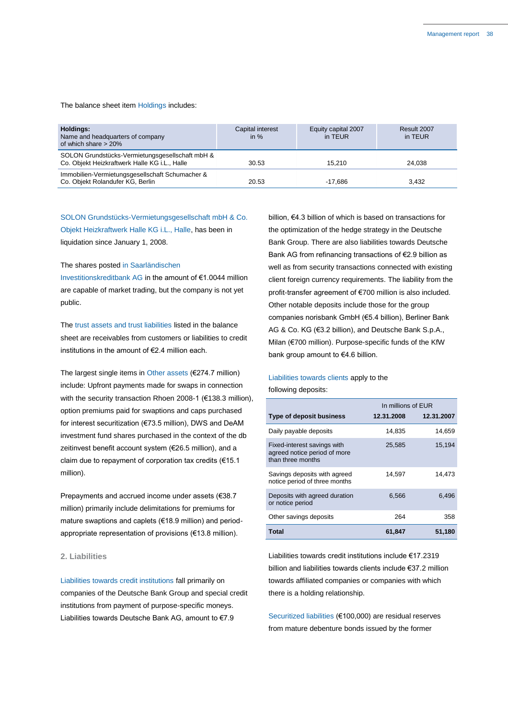The balance sheet item Holdings includes:

| <b>Holdings:</b><br>Name and headquarters of company<br>of which share $> 20\%$                  | Capital interest<br>in $%$ | Equity capital 2007<br>in TEUR | Result 2007<br>in TEUR |
|--------------------------------------------------------------------------------------------------|----------------------------|--------------------------------|------------------------|
| SOLON Grundstücks-Vermietungsgesellschaft mbH &<br>Co. Objekt Heizkraftwerk Halle KG i.L., Halle | 30.53                      | 15.210                         | 24.038                 |
| Immobilien-Vermietungsgesellschaft Schumacher &<br>Co. Objekt Rolandufer KG, Berlin              | 20.53                      | -17.686                        | 3.432                  |

SOLON Grundstücks-Vermietungsgesellschaft mbH & Co. Objekt Heizkraftwerk Halle KG i.L., Halle, has been in liquidation since January 1, 2008.

### The shares posted in Saarländischen

Investitionskreditbank AG in the amount of €1.0044 million are capable of market trading, but the company is not yet public.

The trust assets and trust liabilities listed in the balance sheet are receivables from customers or liabilities to credit institutions in the amount of €2.4 million each.

The largest single items in Other assets (€274.7 million) include: Upfront payments made for swaps in connection with the security transaction Rhoen 2008-1 (€138.3 million), option premiums paid for swaptions and caps purchased for interest securitization (€73.5 million), DWS and DeAM investment fund shares purchased in the context of the db zeitinvest benefit account system (€26.5 million), and a claim due to repayment of corporation tax credits (€15.1 million).

Prepayments and accrued income under assets (€38.7 million) primarily include delimitations for premiums for mature swaptions and caplets (€18.9 million) and periodappropriate representation of provisions (€13.8 million).

### **2. Liabilities**

Liabilities towards credit institutions fall primarily on companies of the Deutsche Bank Group and special credit institutions from payment of purpose-specific moneys. Liabilities towards Deutsche Bank AG, amount to €7.9

billion, €4.3 billion of which is based on transactions for the optimization of the hedge strategy in the Deutsche Bank Group. There are also liabilities towards Deutsche Bank AG from refinancing transactions of €2.9 billion as well as from security transactions connected with existing client foreign currency requirements. The liability from the profit-transfer agreement of €700 million is also included. Other notable deposits include those for the group companies norisbank GmbH (€5.4 billion), Berliner Bank AG & Co. KG (€3.2 billion), and Deutsche Bank S.p.A., Milan (€700 million). Purpose-specific funds of the KfW bank group amount to €4.6 billion.

### Liabilities towards clients apply to the following deposits:

| ulluwii iy u <del>c</del> pusits. |  |
|-----------------------------------|--|
|                                   |  |

|                                                                                  | In millions of EUR |            |  |
|----------------------------------------------------------------------------------|--------------------|------------|--|
| <b>Type of deposit business</b>                                                  | 12.31.2008         | 12.31.2007 |  |
| Daily payable deposits                                                           | 14.835             | 14,659     |  |
| Fixed-interest savings with<br>agreed notice period of more<br>than three months | 25,585             | 15,194     |  |
| Savings deposits with agreed<br>notice period of three months                    | 14,597             | 14.473     |  |
| Deposits with agreed duration<br>or notice period                                | 6,566              | 6.496      |  |
| Other savings deposits                                                           | 264                | 358        |  |
| Total                                                                            | 61,847             | 51,180     |  |

Liabilities towards credit institutions include €17.2319 billion and liabilities towards clients include €37.2 million towards affiliated companies or companies with which there is a holding relationship.

Securitized liabilities (€100,000) are residual reserves from mature debenture bonds issued by the former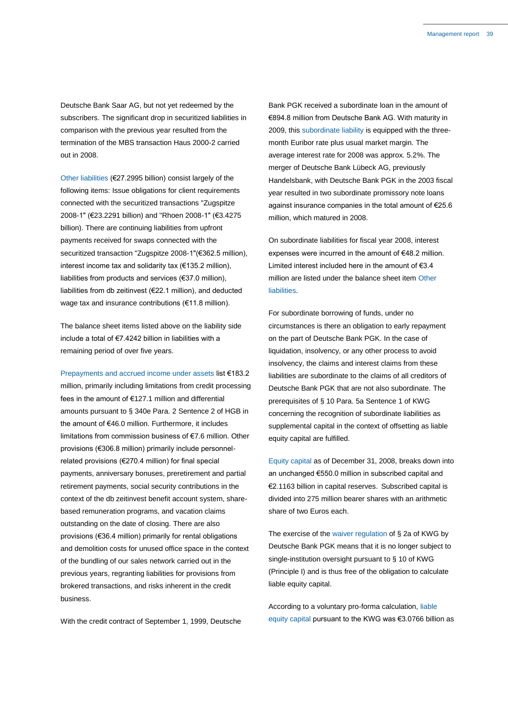Deutsche Bank Saar AG, but not yet redeemed by the subscribers. The significant drop in securitized liabilities in comparison with the previous year resulted from the termination of the MBS transaction Haus 2000-2 carried out in 2008.

Other liabilities (€27.2995 billion) consist largely of the following items: Issue obligations for client requirements connected with the securitized transactions "Zugspitze 2008-1" (€23.2291 billion) and "Rhoen 2008-1" (€3.4275 billion). There are continuing liabilities from upfront payments received for swaps connected with the securitized transaction "Zugspitze 2008-1"(€362.5 million), interest income tax and solidarity tax (€135.2 million), liabilities from products and services (€37.0 million), liabilities from db zeitinvest (€22.1 million), and deducted wage tax and insurance contributions (€11.8 million).

The balance sheet items listed above on the liability side include a total of €7.4242 billion in liabilities with a remaining period of over five years.

Prepayments and accrued income under assets list €183.2 million, primarily including limitations from credit processing fees in the amount of €127.1 million and differential amounts pursuant to § 340e Para. 2 Sentence 2 of HGB in the amount of €46.0 million. Furthermore, it includes limitations from commission business of €7.6 million. Other provisions (€306.8 million) primarily include personnelrelated provisions (€270.4 million) for final special payments, anniversary bonuses, preretirement and partial retirement payments, social security contributions in the context of the db zeitinvest benefit account system, sharebased remuneration programs, and vacation claims outstanding on the date of closing. There are also provisions (€36.4 million) primarily for rental obligations and demolition costs for unused office space in the context of the bundling of our sales network carried out in the previous years, regranting liabilities for provisions from brokered transactions, and risks inherent in the credit business.

With the credit contract of September 1, 1999, Deutsche

Bank PGK received a subordinate loan in the amount of €894.8 million from Deutsche Bank AG. With maturity in 2009, this subordinate liability is equipped with the threemonth Euribor rate plus usual market margin. The average interest rate for 2008 was approx. 5.2%. The merger of Deutsche Bank Lübeck AG, previously Handelsbank, with Deutsche Bank PGK in the 2003 fiscal year resulted in two subordinate promissory note loans against insurance companies in the total amount of €25.6 million, which matured in 2008.

On subordinate liabilities for fiscal year 2008, interest expenses were incurred in the amount of €48.2 million. Limited interest included here in the amount of €3.4 million are listed under the balance sheet item Other liabilities.

For subordinate borrowing of funds, under no circumstances is there an obligation to early repayment on the part of Deutsche Bank PGK. In the case of liquidation, insolvency, or any other process to avoid insolvency, the claims and interest claims from these liabilities are subordinate to the claims of all creditors of Deutsche Bank PGK that are not also subordinate. The prerequisites of § 10 Para. 5a Sentence 1 of KWG concerning the recognition of subordinate liabilities as supplemental capital in the context of offsetting as liable equity capital are fulfilled.

Equity capital as of December 31, 2008, breaks down into an unchanged €550.0 million in subscribed capital and €2.1163 billion in capital reserves. Subscribed capital is divided into 275 million bearer shares with an arithmetic share of two Euros each.

The exercise of the waiver regulation of § 2a of KWG by Deutsche Bank PGK means that it is no longer subject to single-institution oversight pursuant to § 10 of KWG (Principle I) and is thus free of the obligation to calculate liable equity capital.

According to a voluntary pro-forma calculation, liable equity capital pursuant to the KWG was €3.0766 billion as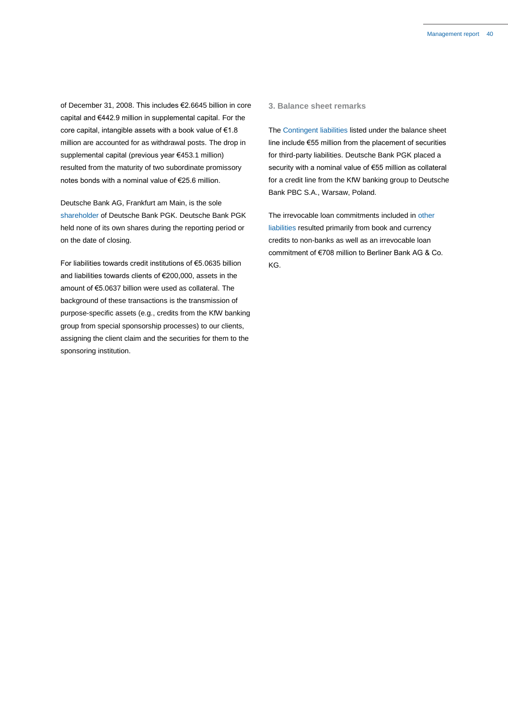of December 31, 2008. This includes €2.6645 billion in core capital and €442.9 million in supplemental capital. For the core capital, intangible assets with a book value of €1.8 million are accounted for as withdrawal posts. The drop in supplemental capital (previous year €453.1 million) resulted from the maturity of two subordinate promissory notes bonds with a nominal value of €25.6 million.

Deutsche Bank AG, Frankfurt am Main, is the sole shareholder of Deutsche Bank PGK. Deutsche Bank PGK held none of its own shares during the reporting period or on the date of closing.

For liabilities towards credit institutions of €5.0635 billion and liabilities towards clients of €200,000, assets in the amount of €5.0637 billion were used as collateral. The background of these transactions is the transmission of purpose-specific assets (e.g., credits from the KfW banking group from special sponsorship processes) to our clients, assigning the client claim and the securities for them to the sponsoring institution.

### **3. Balance sheet remarks**

The Contingent liabilities listed under the balance sheet line include €55 million from the placement of securities for third-party liabilities. Deutsche Bank PGK placed a security with a nominal value of €55 million as collateral for a credit line from the KfW banking group to Deutsche Bank PBC S.A., Warsaw, Poland.

The irrevocable loan commitments included in other liabilities resulted primarily from book and currency credits to non-banks as well as an irrevocable loan commitment of €708 million to Berliner Bank AG & Co. KG.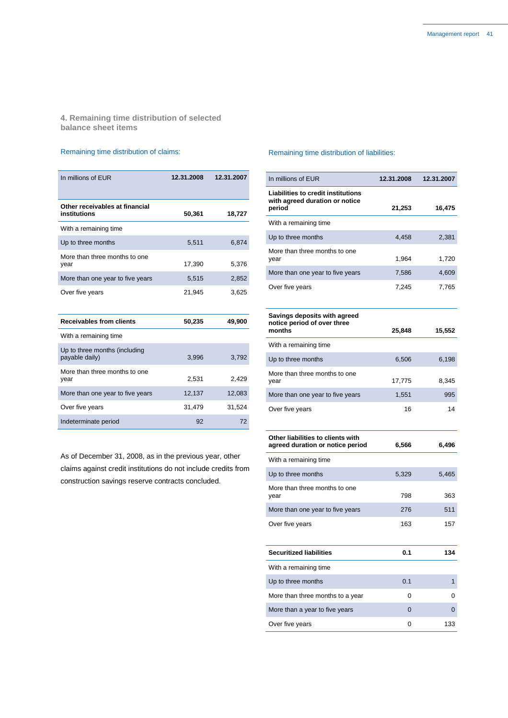**4. Remaining time distribution of selected balance sheet items**

### Remaining time distribution of claims:

| In millions of EUR                              | 12.31.2008 | 12.31.2007 |
|-------------------------------------------------|------------|------------|
| Other receivables at financial<br>institutions  | 50,361     | 18,727     |
| With a remaining time                           |            |            |
| Up to three months                              | 5,511      | 6,874      |
| More than three months to one<br>year           | 17,390     | 5,376      |
| More than one year to five years                | 5,515      | 2,852      |
| Over five years                                 | 21,945     | 3,625      |
|                                                 |            |            |
| <b>Receivables from clients</b>                 | 50,235     | 49,900     |
| With a remaining time                           |            |            |
| Up to three months (including<br>payable daily) | 3,996      | 3,792      |
| More than three months to one<br>year           | 2,531      | 2,429      |
| More than one year to five years                | 12,137     | 12,083     |
| Over five years                                 | 31,479     | 31,524     |
| Indeterminate period                            | 92         | 72         |

As of December 31, 2008, as in the previous year, other claims against credit institutions do not include credits from construction savings reserve contracts concluded.

### Remaining time distribution of liabilities:

| In millions of EUR                                                                    | 12.31.2008 | 12.31.2007 |
|---------------------------------------------------------------------------------------|------------|------------|
| <b>Liabilities to credit institutions</b><br>with agreed duration or notice<br>period | 21,253     | 16,475     |
| With a remaining time                                                                 |            |            |
| Up to three months                                                                    | 4,458      | 2,381      |
| More than three months to one<br>year                                                 | 1,964      | 1,720      |
| More than one year to five years                                                      | 7,586      | 4,609      |
| Over five years                                                                       | 7,245      | 7,765      |
| Savings deposits with agreed<br>notice period of over three<br>months                 | 25,848     | 15,552     |
| With a remaining time                                                                 |            |            |
| Up to three months                                                                    | 6,506      | 6,198      |
| More than three months to one<br>year                                                 | 17,775     | 8,345      |
| More than one year to five years                                                      | 1,551      | 995        |
| Over five years                                                                       | 16         | 14         |
| Other liabilities to clients with<br>agreed duration or notice period                 | 6,566      | 6,496      |
| With a remaining time                                                                 |            |            |
| Up to three months                                                                    | 5,329      | 5,465      |
| More than three months to one<br>year                                                 | 798        | 363        |
| More than one year to five years                                                      | 276        | 511        |
| Over five years                                                                       | 163        | 157        |
| Securitized liabilities                                                               | 0.1        | 134        |
| With a remaining time                                                                 |            |            |
| Up to three months                                                                    | 0.1        | 1          |
| More than three months to a year                                                      | 0          | 0          |
| More than a year to five years                                                        | 0          | 0          |
| Over five years                                                                       | 0          | 133        |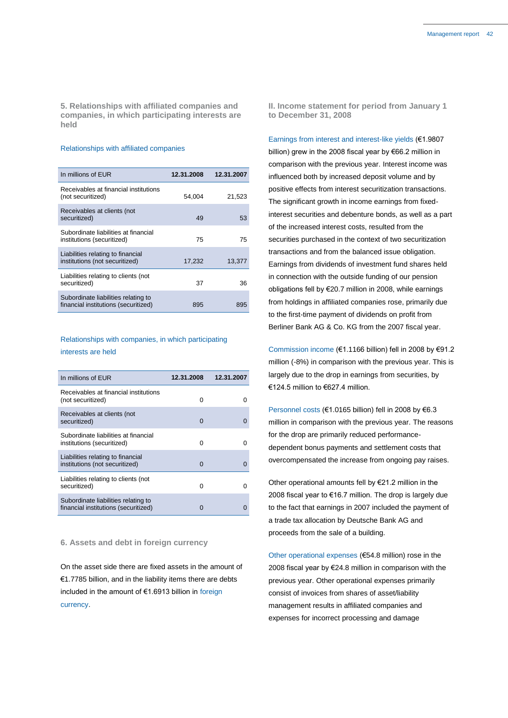**5. Relationships with affiliated companies and companies, in which participating interests are held**

### Relationships with affiliated companies

| In millions of EUR                                                          | 12.31.2008 | 12.31.2007 |
|-----------------------------------------------------------------------------|------------|------------|
| Receivables at financial institutions<br>(not securitized)                  | 54.004     | 21,523     |
| Receivables at clients (not<br>securitized)                                 | 49         | 53         |
| Subordinate liabilities at financial<br>institutions (securitized)          | 75         | 75         |
| Liabilities relating to financial<br>institutions (not securitized)         | 17,232     | 13,377     |
| Liabilities relating to clients (not<br>securitized)                        | 37         | 36         |
| Subordinate liabilities relating to<br>financial institutions (securitized) | 895        | 895        |

### Relationships with companies, in which participating

### interests are held

| In millions of EUR                                                          | 12.31.2008 | 12.31.2007 |
|-----------------------------------------------------------------------------|------------|------------|
| Receivables at financial institutions<br>(not securitized)                  | $\Omega$   |            |
| Receivables at clients (not<br>securitized)                                 | ∩          |            |
| Subordinate liabilities at financial<br>institutions (securitized)          | U          | O          |
| Liabilities relating to financial<br>institutions (not securitized)         | O          | 0          |
| Liabilities relating to clients (not<br>securitized)                        | O          |            |
| Subordinate liabilities relating to<br>financial institutions (securitized) | O          |            |

### **6. Assets and debt in foreign currency**

On the asset side there are fixed assets in the amount of €1.7785 billion, and in the liability items there are debts included in the amount of €1.6913 billion in foreign currency.

**II. Income statement for period from January 1 to December 31, 2008**

Earnings from interest and interest-like yields (€1.9807 billion) grew in the 2008 fiscal year by €66.2 million in comparison with the previous year. Interest income was influenced both by increased deposit volume and by positive effects from interest securitization transactions. The significant growth in income earnings from fixedinterest securities and debenture bonds, as well as a part of the increased interest costs, resulted from the securities purchased in the context of two securitization transactions and from the balanced issue obligation. Earnings from dividends of investment fund shares held in connection with the outside funding of our pension obligations fell by €20.7 million in 2008, while earnings from holdings in affiliated companies rose, primarily due to the first-time payment of dividends on profit from Berliner Bank AG & Co. KG from the 2007 fiscal year.

Commission income (€1.1166 billion) fell in 2008 by €91.2 million (-8%) in comparison with the previous year. This is largely due to the drop in earnings from securities, by €124.5 million to €627.4 million.

Personnel costs (€1.0165 billion) fell in 2008 by €6.3 million in comparison with the previous year. The reasons for the drop are primarily reduced performancedependent bonus payments and settlement costs that overcompensated the increase from ongoing pay raises.

Other operational amounts fell by €21.2 million in the 2008 fiscal year to €16.7 million. The drop is largely due to the fact that earnings in 2007 included the payment of a trade tax allocation by Deutsche Bank AG and proceeds from the sale of a building.

Other operational expenses (€54.8 million) rose in the 2008 fiscal year by €24.8 million in comparison with the previous year. Other operational expenses primarily consist of invoices from shares of asset/liability management results in affiliated companies and expenses for incorrect processing and damage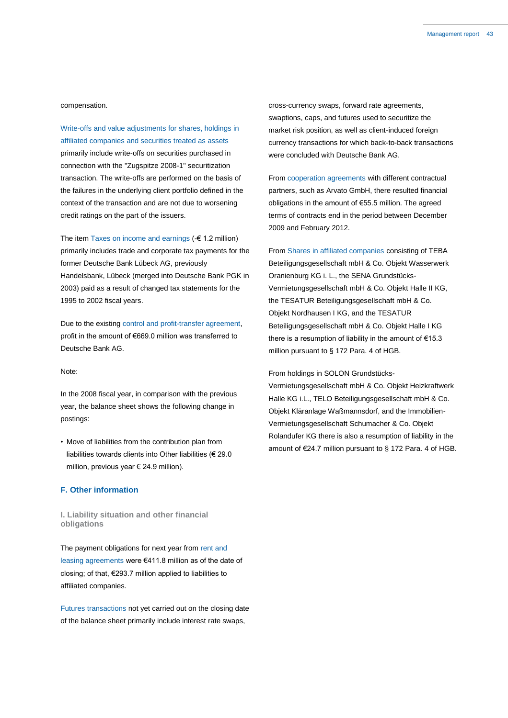compensation.

Write-offs and value adjustments for shares, holdings in affiliated companies and securities treated as assets primarily include write-offs on securities purchased in connection with the "Zugspitze 2008-1" securitization transaction. The write-offs are performed on the basis of the failures in the underlying client portfolio defined in the context of the transaction and are not due to worsening credit ratings on the part of the issuers.

The item Taxes on income and earnings (-€ 1.2 million) primarily includes trade and corporate tax payments for the former Deutsche Bank Lübeck AG, previously Handelsbank, Lübeck (merged into Deutsche Bank PGK in 2003) paid as a result of changed tax statements for the 1995 to 2002 fiscal years.

Due to the existing control and profit-transfer agreement, profit in the amount of €669.0 million was transferred to Deutsche Bank AG.

#### Note:

In the 2008 fiscal year, in comparison with the previous year, the balance sheet shows the following change in postings:

• Move of liabilities from the contribution plan from liabilities towards clients into Other liabilities (€ 29.0 million, previous year € 24.9 million).

### **F. Other information**

**I. Liability situation and other financial obligations**

The payment obligations for next year from rent and leasing agreements were €411.8 million as of the date of closing; of that, €293.7 million applied to liabilities to affiliated companies.

Futures transactions not yet carried out on the closing date of the balance sheet primarily include interest rate swaps,

cross-currency swaps, forward rate agreements, swaptions, caps, and futures used to securitize the market risk position, as well as client-induced foreign currency transactions for which back-to-back transactions were concluded with Deutsche Bank AG.

From cooperation agreements with different contractual partners, such as Arvato GmbH, there resulted financial obligations in the amount of €55.5 million. The agreed terms of contracts end in the period between December 2009 and February 2012.

From Shares in affiliated companies consisting of TEBA Beteiligungsgesellschaft mbH & Co. Objekt Wasserwerk Oranienburg KG i. L., the SENA Grundstücks-Vermietungsgesellschaft mbH & Co. Objekt Halle II KG, the TESATUR Beteiligungsgesellschaft mbH & Co. Objekt Nordhausen I KG, and the TESATUR Beteiligungsgesellschaft mbH & Co. Objekt Halle I KG there is a resumption of liability in the amount of  $€15.3$ million pursuant to § 172 Para. 4 of HGB.

From holdings in SOLON Grundstücks-

Vermietungsgesellschaft mbH & Co. Objekt Heizkraftwerk Halle KG i.L., TELO Beteiligungsgesellschaft mbH & Co. Objekt Kläranlage Waßmannsdorf, and the Immobilien-Vermietungsgesellschaft Schumacher & Co. Objekt Rolandufer KG there is also a resumption of liability in the amount of €24.7 million pursuant to § 172 Para. 4 of HGB.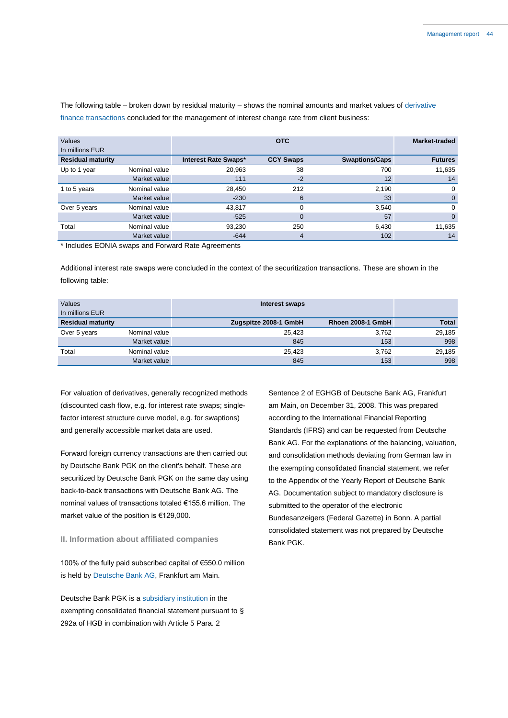The following table – broken down by residual maturity – shows the nominal amounts and market values of derivative finance transactions concluded for the management of interest change rate from client business:

| Values<br>In millions EUR |               |                      | <b>OTC</b>       |                       | Market-traded  |
|---------------------------|---------------|----------------------|------------------|-----------------------|----------------|
| <b>Residual maturity</b>  |               | Interest Rate Swaps* | <b>CCY Swaps</b> | <b>Swaptions/Caps</b> | <b>Futures</b> |
| Up to 1 year              | Nominal value | 20,963               | 38               | 700                   | 11,635         |
|                           | Market value  | 111                  | $-2$             | 12 <sup>°</sup>       | 14             |
| 1 to 5 years              | Nominal value | 28,450               | 212              | 2,190                 | $\Omega$       |
|                           | Market value  | $-230$               | 6                | 33                    | $\overline{0}$ |
| Over 5 years              | Nominal value | 43,817               | $\Omega$         | 3,540                 | $\Omega$       |
|                           | Market value  | $-525$               | 0                | 57                    | $\Omega$       |
| Total                     | Nominal value | 93,230               | 250              | 6,430                 | 11,635         |
|                           | Market value  | $-644$               | 4                | 102                   | 14             |

\* Includes EONIA swaps and Forward Rate Agreements

Additional interest rate swaps were concluded in the context of the securitization transactions. These are shown in the following table:

| Values<br>In millions EUR |               | Interest swaps        |                   |              |
|---------------------------|---------------|-----------------------|-------------------|--------------|
| <b>Residual maturity</b>  |               | Zugspitze 2008-1 GmbH | Rhoen 2008-1 GmbH | <b>Total</b> |
| Over 5 years              | Nominal value | 25,423                | 3,762             | 29,185       |
|                           | Market value  | 845                   | 153               | 998          |
| Total                     | Nominal value | 25,423                | 3,762             | 29,185       |
|                           | Market value  | 845                   | 153               | 998          |

For valuation of derivatives, generally recognized methods (discounted cash flow, e.g. for interest rate swaps; singlefactor interest structure curve model, e.g. for swaptions) and generally accessible market data are used.

Forward foreign currency transactions are then carried out by Deutsche Bank PGK on the client's behalf. These are securitized by Deutsche Bank PGK on the same day using back-to-back transactions with Deutsche Bank AG. The nominal values of transactions totaled €155.6 million. The market value of the position is €129,000.

### **II. Information about affiliated companies**

100% of the fully paid subscribed capital of €550.0 million is held by Deutsche Bank AG, Frankfurt am Main.

Deutsche Bank PGK is a subsidiary institution in the exempting consolidated financial statement pursuant to § 292a of HGB in combination with Article 5 Para. 2

Sentence 2 of EGHGB of Deutsche Bank AG, Frankfurt am Main, on December 31, 2008. This was prepared according to the International Financial Reporting Standards (IFRS) and can be requested from Deutsche Bank AG. For the explanations of the balancing, valuation, and consolidation methods deviating from German law in the exempting consolidated financial statement, we refer to the Appendix of the Yearly Report of Deutsche Bank AG. Documentation subject to mandatory disclosure is submitted to the operator of the electronic Bundesanzeigers (Federal Gazette) in Bonn. A partial consolidated statement was not prepared by Deutsche Bank PGK.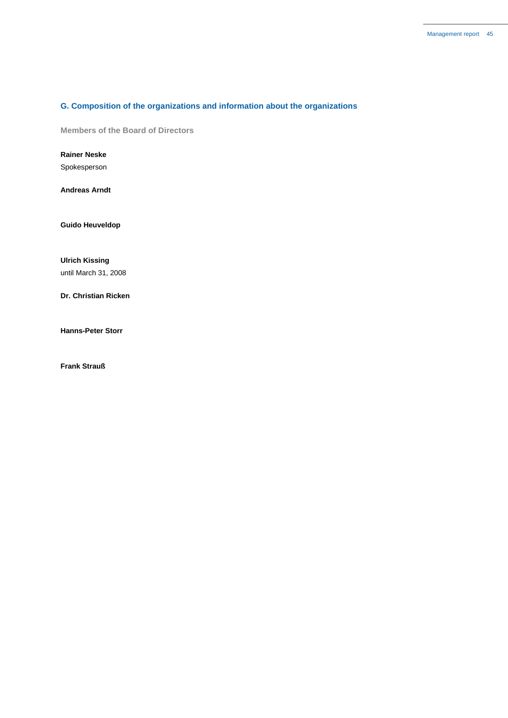### **G. Composition of the organizations and information about the organizations**

**Members of the Board of Directors**

**Rainer Neske**

Spokesperson

**Andreas Arndt**

**Guido Heuveldop**

**Ulrich Kissing** until March 31, 2008

**Dr. Christian Ricken**

**Hanns-Peter Storr**

**Frank Strauß**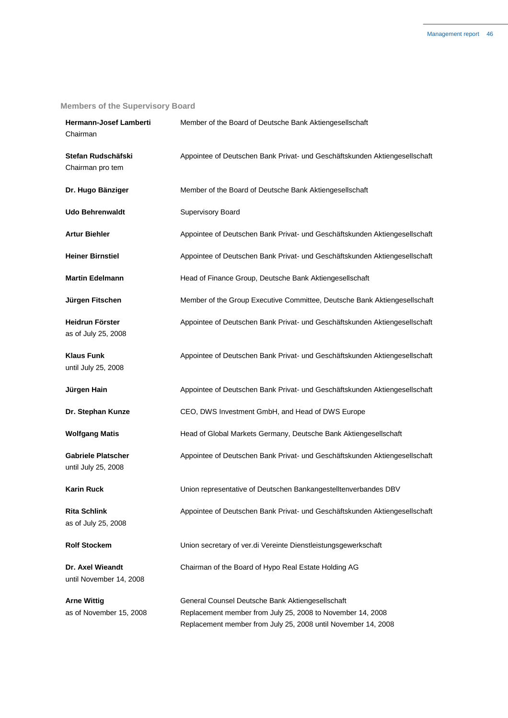## **Members of the Supervisory Board**

| Hermann-Josef Lamberti<br>Chairman               | Member of the Board of Deutsche Bank Aktiengesellschaft                                                                                                                         |
|--------------------------------------------------|---------------------------------------------------------------------------------------------------------------------------------------------------------------------------------|
| Stefan Rudschäfski<br>Chairman pro tem           | Appointee of Deutschen Bank Privat- und Geschäftskunden Aktiengesellschaft                                                                                                      |
| Dr. Hugo Bänziger                                | Member of the Board of Deutsche Bank Aktiengesellschaft                                                                                                                         |
| <b>Udo Behrenwaldt</b>                           | Supervisory Board                                                                                                                                                               |
| <b>Artur Biehler</b>                             | Appointee of Deutschen Bank Privat- und Geschäftskunden Aktiengesellschaft                                                                                                      |
| <b>Heiner Birnstiel</b>                          | Appointee of Deutschen Bank Privat- und Geschäftskunden Aktiengesellschaft                                                                                                      |
| <b>Martin Edelmann</b>                           | Head of Finance Group, Deutsche Bank Aktiengesellschaft                                                                                                                         |
| Jürgen Fitschen                                  | Member of the Group Executive Committee, Deutsche Bank Aktiengesellschaft                                                                                                       |
| <b>Heidrun Förster</b><br>as of July 25, 2008    | Appointee of Deutschen Bank Privat- und Geschäftskunden Aktiengesellschaft                                                                                                      |
| <b>Klaus Funk</b><br>until July 25, 2008         | Appointee of Deutschen Bank Privat- und Geschäftskunden Aktiengesellschaft                                                                                                      |
| Jürgen Hain                                      | Appointee of Deutschen Bank Privat- und Geschäftskunden Aktiengesellschaft                                                                                                      |
| Dr. Stephan Kunze                                | CEO, DWS Investment GmbH, and Head of DWS Europe                                                                                                                                |
| <b>Wolfgang Matis</b>                            | Head of Global Markets Germany, Deutsche Bank Aktiengesellschaft                                                                                                                |
| <b>Gabriele Platscher</b><br>until July 25, 2008 | Appointee of Deutschen Bank Privat- und Geschäftskunden Aktiengesellschaft                                                                                                      |
| <b>Karin Ruck</b>                                | Union representative of Deutschen Bankangestelltenverbandes DBV                                                                                                                 |
| <b>Rita Schlink</b><br>as of July 25, 2008       | Appointee of Deutschen Bank Privat- und Geschäftskunden Aktiengesellschaft                                                                                                      |
| <b>Rolf Stockem</b>                              | Union secretary of ver.di Vereinte Dienstleistungsgewerkschaft                                                                                                                  |
| Dr. Axel Wieandt<br>until November 14, 2008      | Chairman of the Board of Hypo Real Estate Holding AG                                                                                                                            |
| <b>Arne Wittig</b><br>as of November 15, 2008    | General Counsel Deutsche Bank Aktiengesellschaft<br>Replacement member from July 25, 2008 to November 14, 2008<br>Replacement member from July 25, 2008 until November 14, 2008 |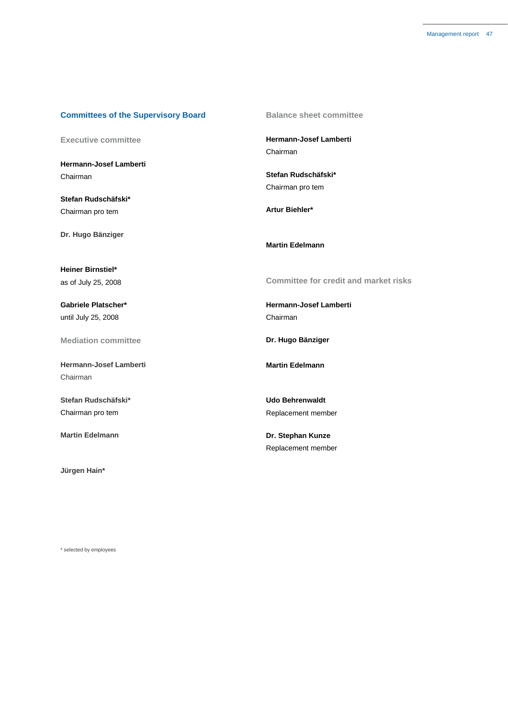### **Committees of the Supervisory Board**

**Executive committee**

**Hermann-Josef Lamberti** Chairman

**Stefan Rudschäfski\*** Chairman pro tem

**Dr. Hugo Bänziger**

**Heiner Birnstiel\*** as of July 25, 2008

**Gabriele Platscher\*** until July 25, 2008

**Mediation committee**

**Hermann-Josef Lamberti** Chairman

**Stefan Rudschäfski\*** Chairman pro tem

**Martin Edelmann**

**Jürgen Hain\***

**Balance sheet committee**

**Hermann-Josef Lamberti** Chairman

**Stefan Rudschäfski\*** Chairman pro tem

**Artur Biehler\***

**Martin Edelmann**

**Committee for credit and market risks**

**Hermann-Josef Lamberti** Chairman

**Dr. Hugo Bänziger**

**Martin Edelmann**

**Udo Behrenwaldt** Replacement member

**Dr. Stephan Kunze** Replacement member

\* selected by employees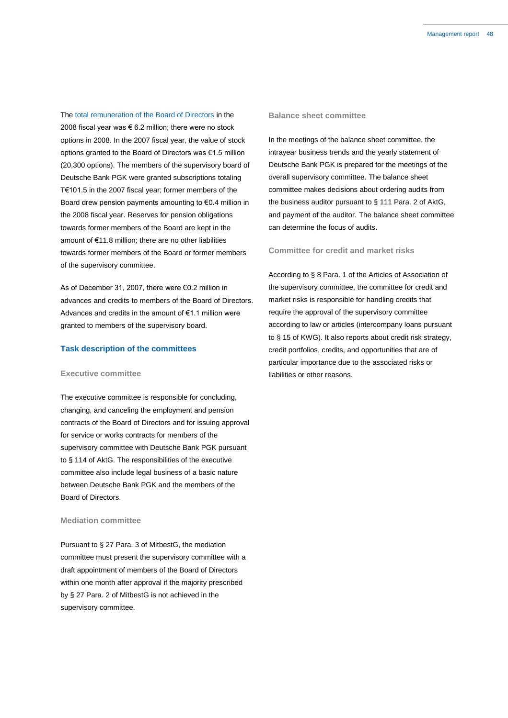The total remuneration of the Board of Directors in the 2008 fiscal year was  $\epsilon$  6.2 million; there were no stock options in 2008. In the 2007 fiscal year, the value of stock options granted to the Board of Directors was €1.5 million (20,300 options). The members of the supervisory board of Deutsche Bank PGK were granted subscriptions totaling T€101.5 in the 2007 fiscal year; former members of the Board drew pension payments amounting to  $\epsilon$ 0.4 million in the 2008 fiscal year. Reserves for pension obligations towards former members of the Board are kept in the amount of €11.8 million; there are no other liabilities towards former members of the Board or former members of the supervisory committee.

As of December 31, 2007, there were €0.2 million in advances and credits to members of the Board of Directors. Advances and credits in the amount of €1.1 million were granted to members of the supervisory board.

### **Task description of the committees**

### **Executive committee**

The executive committee is responsible for concluding, changing, and canceling the employment and pension contracts of the Board of Directors and for issuing approval for service or works contracts for members of the supervisory committee with Deutsche Bank PGK pursuant to § 114 of AktG. The responsibilities of the executive committee also include legal business of a basic nature between Deutsche Bank PGK and the members of the Board of Directors.

### **Mediation committee**

Pursuant to § 27 Para. 3 of MitbestG, the mediation committee must present the supervisory committee with a draft appointment of members of the Board of Directors within one month after approval if the majority prescribed by § 27 Para. 2 of MitbestG is not achieved in the supervisory committee.

### **Balance sheet committee**

In the meetings of the balance sheet committee, the intrayear business trends and the yearly statement of Deutsche Bank PGK is prepared for the meetings of the overall supervisory committee. The balance sheet committee makes decisions about ordering audits from the business auditor pursuant to § 111 Para. 2 of AktG, and payment of the auditor. The balance sheet committee can determine the focus of audits.

### **Committee for credit and market risks**

According to § 8 Para. 1 of the Articles of Association of the supervisory committee, the committee for credit and market risks is responsible for handling credits that require the approval of the supervisory committee according to law or articles (intercompany loans pursuant to § 15 of KWG). It also reports about credit risk strategy, credit portfolios, credits, and opportunities that are of particular importance due to the associated risks or liabilities or other reasons.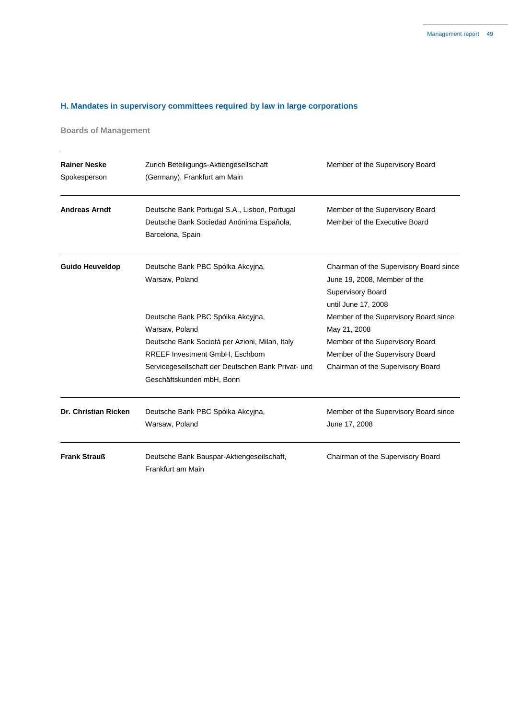## **H. Mandates in supervisory committees required by law in large corporations**

**Boards of Management**

| <b>Rainer Neske</b><br>Spokesperson | Zurich Beteiligungs-Aktiengesellschaft<br>(Germany), Frankfurt am Main                                        | Member of the Supervisory Board                                                                                            |
|-------------------------------------|---------------------------------------------------------------------------------------------------------------|----------------------------------------------------------------------------------------------------------------------------|
| <b>Andreas Arndt</b>                | Deutsche Bank Portugal S.A., Lisbon, Portugal<br>Deutsche Bank Sociedad Anónima Española,<br>Barcelona, Spain | Member of the Supervisory Board<br>Member of the Executive Board                                                           |
| <b>Guido Heuveldop</b>              | Deutsche Bank PBC Spólka Akcyjna,<br>Warsaw, Poland                                                           | Chairman of the Supervisory Board since<br>June 19, 2008, Member of the<br><b>Supervisory Board</b><br>until June 17, 2008 |
|                                     | Deutsche Bank PBC Spólka Akcyjna,                                                                             | Member of the Supervisory Board since                                                                                      |
|                                     | Warsaw, Poland                                                                                                | May 21, 2008                                                                                                               |
|                                     | Deutsche Bank Societá per Azioni, Milan, Italy                                                                | Member of the Supervisory Board                                                                                            |
|                                     | RREEF Investment GmbH, Eschborn                                                                               | Member of the Supervisory Board                                                                                            |
|                                     | Servicegesellschaft der Deutschen Bank Privat- und<br>Geschäftskunden mbH, Bonn                               | Chairman of the Supervisory Board                                                                                          |
| Dr. Christian Ricken                | Deutsche Bank PBC Spólka Akcyjna,<br>Warsaw, Poland                                                           | Member of the Supervisory Board since<br>June 17, 2008                                                                     |
| <b>Frank Strauß</b>                 | Deutsche Bank Bauspar-Aktiengeseilschaft,<br>Frankfurt am Main                                                | Chairman of the Supervisory Board                                                                                          |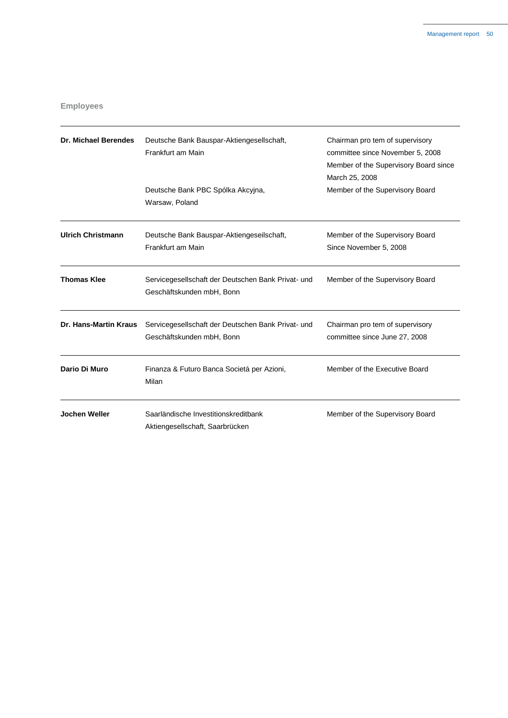### **Employees**

| <b>Dr. Michael Berendes</b>  | Deutsche Bank Bauspar-Aktiengesellschaft,<br>Frankfurt am Main<br>Deutsche Bank PBC Spólka Akcyjna,<br>Warsaw, Poland | Chairman pro tem of supervisory<br>committee since November 5, 2008<br>Member of the Supervisory Board since<br>March 25, 2008<br>Member of the Supervisory Board |
|------------------------------|-----------------------------------------------------------------------------------------------------------------------|-------------------------------------------------------------------------------------------------------------------------------------------------------------------|
| <b>Ulrich Christmann</b>     | Deutsche Bank Bauspar-Aktiengeseilschaft,<br>Frankfurt am Main                                                        | Member of the Supervisory Board<br>Since November 5, 2008                                                                                                         |
| <b>Thomas Klee</b>           | Servicegesellschaft der Deutschen Bank Privat- und<br>Geschäftskunden mbH, Bonn                                       | Member of the Supervisory Board                                                                                                                                   |
| <b>Dr. Hans-Martin Kraus</b> | Servicegesellschaft der Deutschen Bank Privat- und<br>Geschäftskunden mbH, Bonn                                       | Chairman pro tem of supervisory<br>committee since June 27, 2008                                                                                                  |
| Dario Di Muro                | Finanza & Futuro Banca Societá per Azioni,<br>Milan                                                                   | Member of the Executive Board                                                                                                                                     |
| Jochen Weller                | Saarländische Investitionskreditbank<br>Aktiengesellschaft, Saarbrücken                                               | Member of the Supervisory Board                                                                                                                                   |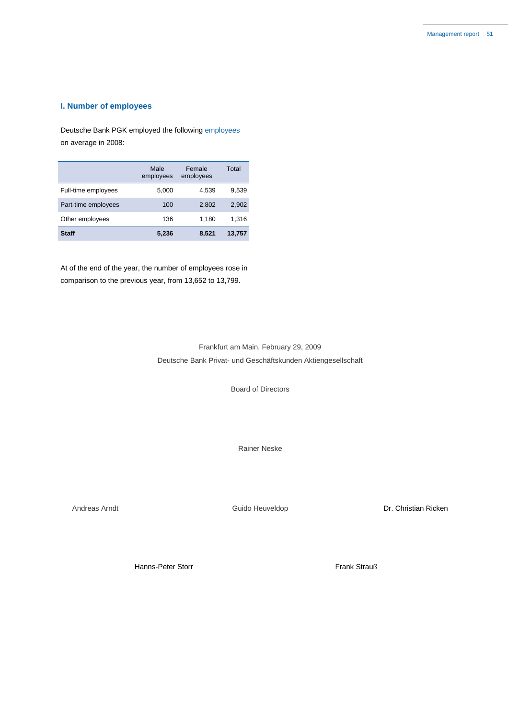### **I. Number of employees**

Deutsche Bank PGK employed the following employees on average in 2008:

|                     | Male<br>employees | Female<br>employees | Total  |
|---------------------|-------------------|---------------------|--------|
| Full-time employees | 5,000             | 4,539               | 9,539  |
| Part-time employees | 100               | 2.802               | 2,902  |
| Other employees     | 136               | 1,180               | 1,316  |
| Staff               | 5,236             | 8,521               | 13,757 |

At of the end of the year, the number of employees rose in comparison to the previous year, from 13,652 to 13,799.

### Frankfurt am Main, February 29, 2009 Deutsche Bank Privat- und Geschäftskunden Aktiengesellschaft

Board of Directors

Rainer Neske

Andreas Arndt **Andreas Arndt** Cuido Heuveldop **Communication** Dr. Christian Ricken

Hanns-Peter Storr Frank Strauß